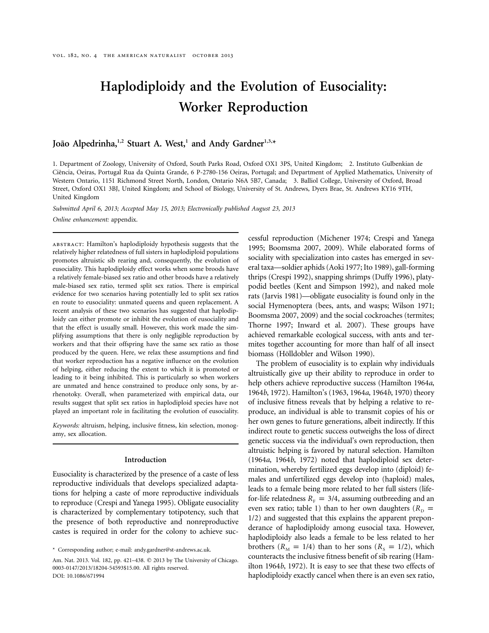# **Haplodiploidy and the Evolution of Eusociality: Worker Reproduction**

## João Alpedrinha,<sup>1,2</sup> Stuart A. West,<sup>1</sup> and Andy Gardner<sup>1,3,\*</sup>

1. Department of Zoology, University of Oxford, South Parks Road, Oxford OX1 3PS, United Kingdom; 2. Instituto Gulbenkian de Ciência, Oeiras, Portugal Rua da Quinta Grande, 6 P-2780-156 Oeiras, Portugal; and Department of Applied Mathematics, University of Western Ontario, 1151 Richmond Street North, London, Ontario N6A 5B7, Canada; 3. Balliol College, University of Oxford, Broad Street, Oxford OX1 3BJ, United Kingdom; and School of Biology, University of St. Andrews, Dyers Brae, St. Andrews KY16 9TH, United Kingdom

*Submitted April 6, 2013; Accepted May 15, 2013; Electronically published August 23, 2013 Online enhancement:* appendix.

abstract: Hamilton's haplodiploidy hypothesis suggests that the relatively higher relatedness of full sisters in haplodiploid populations promotes altruistic sib rearing and, consequently, the evolution of eusociality. This haplodiploidy effect works when some broods have a relatively female-biased sex ratio and other broods have a relatively male-biased sex ratio, termed split sex ratios. There is empirical evidence for two scenarios having potentially led to split sex ratios en route to eusociality: unmated queens and queen replacement. A recent analysis of these two scenarios has suggested that haplodiploidy can either promote or inhibit the evolution of eusociality and that the effect is usually small. However, this work made the simplifying assumptions that there is only negligible reproduction by workers and that their offspring have the same sex ratio as those produced by the queen. Here, we relax these assumptions and find that worker reproduction has a negative influence on the evolution of helping, either reducing the extent to which it is promoted or leading to it being inhibited. This is particularly so when workers are unmated and hence constrained to produce only sons, by arrhenotoky. Overall, when parameterized with empirical data, our results suggest that split sex ratios in haplodiploid species have not played an important role in facilitating the evolution of eusociality.

*Keywords:* altruism, helping, inclusive fitness, kin selection, monogamy, sex allocation.

#### **Introduction**

Eusociality is characterized by the presence of a caste of less reproductive individuals that develops specialized adaptations for helping a caste of more reproductive individuals to reproduce (Crespi and Yanega 1995). Obligate eusociality is characterized by complementary totipotency, such that the presence of both reproductive and nonreproductive castes is required in order for the colony to achieve successful reproduction (Michener 1974; Crespi and Yanega 1995; Boomsma 2007, 2009). While elaborated forms of sociality with specialization into castes has emerged in several taxa—soldier aphids (Aoki 1977; Ito 1989), gall-forming thrips (Crespi 1992), snapping shrimps (Duffy 1996), platypodid beetles (Kent and Simpson 1992), and naked mole rats (Jarvis 1981)—obligate eusociality is found only in the social Hymenoptera (bees, ants, and wasps; Wilson 1971; Boomsma 2007, 2009) and the social cockroaches (termites; Thorne 1997; Inward et al. 2007). These groups have achieved remarkable ecological success, with ants and termites together accounting for more than half of all insect biomass (Hölldobler and Wilson 1990).

The problem of eusociality is to explain why individuals altruistically give up their ability to reproduce in order to help others achieve reproductive success (Hamilton 1964*a*, 1964*b*, 1972). Hamilton's (1963, 1964*a*, 1964*b*, 1970) theory of inclusive fitness reveals that by helping a relative to reproduce, an individual is able to transmit copies of his or her own genes to future generations, albeit indirectly. If this indirect route to genetic success outweighs the loss of direct genetic success via the individual's own reproduction, then altruistic helping is favored by natural selection. Hamilton (1964*a*, 1964*b*, 1972) noted that haplodiploid sex determination, whereby fertilized eggs develop into (diploid) females and unfertilized eggs develop into (haploid) males, leads to a female being more related to her full sisters (lifefor-life relatedness  $R_F = 3/4$ , assuming outbreeding and an even sex ratio; table 1) than to her own daughters ( $R_D$  = 1/2) and suggested that this explains the apparent preponderance of haplodiploidy among eusocial taxa. However, haplodiploidy also leads a female to be less related to her brothers ( $R_M = 1/4$ ) than to her sons ( $R_S = 1/2$ ), which counteracts the inclusive fitness benefit of sib rearing (Hamilton 1964*b*, 1972). It is easy to see that these two effects of haplodiploidy exactly cancel when there is an even sex ratio,

<sup>\*</sup> Corresponding author; e-mail: [andy.gardner@st-andrews.ac.uk.](mailto:andy.gardner@st-andrews.ac.uk)

Am. Nat. 2013. Vol. 182, pp. 421-438. © 2013 by The University of Chicago. 0003-0147/2013/18204-54593\$15.00. All rights reserved. DOI: 10.1086/671994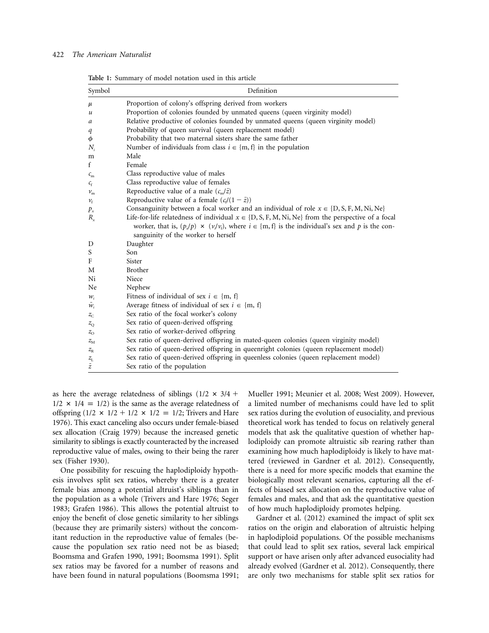## 422 *The American Naturalist*

| Table 1: Summary of model notation used in this article |  |  |  |
|---------------------------------------------------------|--|--|--|
|                                                         |  |  |  |

| Symbol                | Definition                                                                                                                                                                                                                                                      |  |  |  |  |
|-----------------------|-----------------------------------------------------------------------------------------------------------------------------------------------------------------------------------------------------------------------------------------------------------------|--|--|--|--|
| $\mu$                 | Proportion of colony's offspring derived from workers                                                                                                                                                                                                           |  |  |  |  |
| u                     | Proportion of colonies founded by unmated queens (queen virginity model)                                                                                                                                                                                        |  |  |  |  |
| a                     | Relative productive of colonies founded by unmated queens (queen virginity model)                                                                                                                                                                               |  |  |  |  |
| q                     | Probability of queen survival (queen replacement model)                                                                                                                                                                                                         |  |  |  |  |
| φ                     | Probability that two maternal sisters share the same father                                                                                                                                                                                                     |  |  |  |  |
| $N_i$                 | Number of individuals from class $i \in \{m, f\}$ in the population                                                                                                                                                                                             |  |  |  |  |
| m                     | Male                                                                                                                                                                                                                                                            |  |  |  |  |
| f                     | Female                                                                                                                                                                                                                                                          |  |  |  |  |
| $\mathcal{C}_{\rm m}$ | Class reproductive value of males                                                                                                                                                                                                                               |  |  |  |  |
| $c_{\rm f}$           | Class reproductive value of females                                                                                                                                                                                                                             |  |  |  |  |
| $v_{\rm m}$           | Reproductive value of a male $(c_m/\bar{z})$                                                                                                                                                                                                                    |  |  |  |  |
| $\nu_{\rm f}$         | Reproductive value of a female $(c/(1 - \bar{z}))$                                                                                                                                                                                                              |  |  |  |  |
| $p_{x}$               | Consanguinity between a focal worker and an individual of role $x \in \{D, S, F, M, Ni, Ne\}$                                                                                                                                                                   |  |  |  |  |
| $R_{x}$               | Life-for-life relatedness of individual $x \in \{D, S, F, M, Ni, Ne\}$ from the perspective of a focal<br>worker, that is, $(p_x/p) \times (v_x/v_y)$ , where $i \in \{m, f\}$ is the individual's sex and p is the con-<br>sanguinity of the worker to herself |  |  |  |  |
| D                     | Daughter                                                                                                                                                                                                                                                        |  |  |  |  |
| S                     | Son                                                                                                                                                                                                                                                             |  |  |  |  |
| F                     | Sister                                                                                                                                                                                                                                                          |  |  |  |  |
| M                     | <b>Brother</b>                                                                                                                                                                                                                                                  |  |  |  |  |
| Ni                    | Niece                                                                                                                                                                                                                                                           |  |  |  |  |
| Ne                    | Nephew                                                                                                                                                                                                                                                          |  |  |  |  |
| $W_i$                 | Fitness of individual of sex $i \in \{m, f\}$                                                                                                                                                                                                                   |  |  |  |  |
| $\bar{w}_i$           | Average fitness of individual of sex $i \in \{m, f\}$                                                                                                                                                                                                           |  |  |  |  |
| $z_{\rm C}$           | Sex ratio of the focal worker's colony                                                                                                                                                                                                                          |  |  |  |  |
| $z_{\rm O}$           | Sex ratio of queen-derived offspring                                                                                                                                                                                                                            |  |  |  |  |
| $z_{\rm O}$           | Sex ratio of worker-derived offspring                                                                                                                                                                                                                           |  |  |  |  |
| $Z_{\rm M}$           | Sex ratio of queen-derived offspring in mated-queen colonies (queen virginity model)                                                                                                                                                                            |  |  |  |  |
| $Z_{\rm R}$           | Sex ratio of queen-derived offspring in queenright colonies (queen replacement model)                                                                                                                                                                           |  |  |  |  |
| $z_{\rm L}$           | Sex ratio of queen-derived offspring in queenless colonies (queen replacement model)                                                                                                                                                                            |  |  |  |  |
| $\bar{z}$             | Sex ratio of the population                                                                                                                                                                                                                                     |  |  |  |  |

as here the average relatedness of siblings  $(1/2 \times 3/4 +$  $1/2 \times 1/4 = 1/2$ ) is the same as the average relatedness of offspring  $(1/2 \times 1/2 + 1/2 \times 1/2 = 1/2$ ; Trivers and Hare 1976). This exact canceling also occurs under female-biased sex allocation (Craig 1979) because the increased genetic similarity to siblings is exactly counteracted by the increased reproductive value of males, owing to their being the rarer sex (Fisher 1930).

One possibility for rescuing the haplodiploidy hypothesis involves split sex ratios, whereby there is a greater female bias among a potential altruist's siblings than in the population as a whole (Trivers and Hare 1976; Seger 1983; Grafen 1986). This allows the potential altruist to enjoy the benefit of close genetic similarity to her siblings (because they are primarily sisters) without the concomitant reduction in the reproductive value of females (because the population sex ratio need not be as biased; Boomsma and Grafen 1990, 1991; Boomsma 1991). Split sex ratios may be favored for a number of reasons and have been found in natural populations (Boomsma 1991; Mueller 1991; Meunier et al. 2008; West 2009). However, a limited number of mechanisms could have led to split sex ratios during the evolution of eusociality, and previous theoretical work has tended to focus on relatively general models that ask the qualitative question of whether haplodiploidy can promote altruistic sib rearing rather than examining how much haplodiploidy is likely to have mattered (reviewed in Gardner et al. 2012). Consequently, there is a need for more specific models that examine the biologically most relevant scenarios, capturing all the effects of biased sex allocation on the reproductive value of females and males, and that ask the quantitative question of how much haplodiploidy promotes helping.

Gardner et al. (2012) examined the impact of split sex ratios on the origin and elaboration of altruistic helping in haplodiploid populations. Of the possible mechanisms that could lead to split sex ratios, several lack empirical support or have arisen only after advanced eusociality had already evolved (Gardner et al. 2012). Consequently, there are only two mechanisms for stable split sex ratios for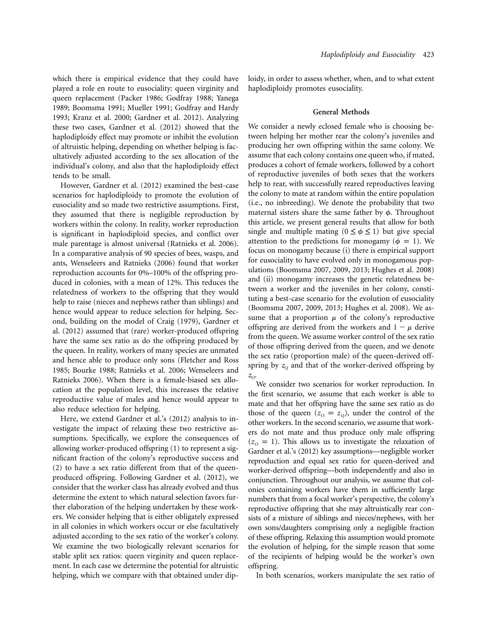which there is empirical evidence that they could have played a role en route to eusociality: queen virginity and queen replacement (Packer 1986; Godfray 1988; Yanega 1989; Boomsma 1991; Mueller 1991; Godfray and Hardy 1993; Kranz et al. 2000; Gardner et al. 2012). Analyzing these two cases, Gardner et al. (2012) showed that the haplodiploidy effect may promote or inhibit the evolution of altruistic helping, depending on whether helping is facultatively adjusted according to the sex allocation of the individual's colony, and also that the haplodiploidy effect tends to be small.

However, Gardner et al. (2012) examined the best-case scenarios for haplodiploidy to promote the evolution of eusociality and so made two restrictive assumptions. First, they assumed that there is negligible reproduction by workers within the colony. In reality, worker reproduction is significant in haplodiploid species, and conflict over male parentage is almost universal (Ratnieks et al. 2006). In a comparative analysis of 90 species of bees, wasps, and ants, Wenseleers and Ratnieks (2006) found that worker reproduction accounts for 0%–100% of the offspring produced in colonies, with a mean of 12%. This reduces the relatedness of workers to the offspring that they would help to raise (nieces and nephews rather than siblings) and hence would appear to reduce selection for helping. Second, building on the model of Craig (1979), Gardner et al. (2012) assumed that (rare) worker-produced offspring have the same sex ratio as do the offspring produced by the queen. In reality, workers of many species are unmated and hence able to produce only sons (Fletcher and Ross 1985; Bourke 1988; Ratnieks et al. 2006; Wenseleers and Ratnieks 2006). When there is a female-biased sex allocation at the population level, this increases the relative reproductive value of males and hence would appear to also reduce selection for helping.

Here, we extend Gardner et al.'s (2012) analysis to investigate the impact of relaxing these two restrictive assumptions. Specifically, we explore the consequences of allowing worker-produced offspring (1) to represent a significant fraction of the colony's reproductive success and (2) to have a sex ratio different from that of the queenproduced offspring. Following Gardner et al. (2012), we consider that the worker class has already evolved and thus determine the extent to which natural selection favors further elaboration of the helping undertaken by these workers. We consider helping that is either obligately expressed in all colonies in which workers occur or else facultatively adjusted according to the sex ratio of the worker's colony. We examine the two biologically relevant scenarios for stable split sex ratios: queen virginity and queen replacement. In each case we determine the potential for altruistic helping, which we compare with that obtained under diploidy, in order to assess whether, when, and to what extent haplodiploidy promotes eusociality.

#### **General Methods**

We consider a newly eclosed female who is choosing between helping her mother rear the colony's juveniles and producing her own offspring within the same colony. We assume that each colony contains one queen who, if mated, produces a cohort of female workers, followed by a cohort of reproductive juveniles of both sexes that the workers help to rear, with successfully reared reproductives leaving the colony to mate at random within the entire population (i.e., no inbreeding). We denote the probability that two maternal sisters share the same father by  $\phi$ . Throughout this article, we present general results that allow for both single and multiple mating  $(0 \le \phi \le 1)$  but give special attention to the predictions for monogamy ( $\phi = 1$ ). We focus on monogamy because (i) there is empirical support for eusociality to have evolved only in monogamous populations (Boomsma 2007, 2009, 2013; Hughes et al. 2008) and (ii) monogamy increases the genetic relatedness between a worker and the juveniles in her colony, constituting a best-case scenario for the evolution of eusociality (Boomsma 2007, 2009, 2013; Hughes et al. 2008). We assume that a proportion  $\mu$  of the colony's reproductive offspring are derived from the workers and  $1 - \mu$  derive from the queen. We assume worker control of the sex ratio of those offspring derived from the queen, and we denote the sex ratio (proportion male) of the queen-derived offspring by  $z_0$  and that of the worker-derived offspring by  $z_{\rm O}$ .

We consider two scenarios for worker reproduction. In the first scenario, we assume that each worker is able to mate and that her offspring have the same sex ratio as do those of the queen  $(z_0 = z_0)$ , under the control of the other workers. In the second scenario, we assume that workers do not mate and thus produce only male offspring  $(z_0 = 1)$ . This allows us to investigate the relaxation of Gardner et al.'s (2012) key assumptions—negligible worker reproduction and equal sex ratio for queen-derived and worker-derived offspring—both independently and also in conjunction. Throughout our analysis, we assume that colonies containing workers have them in sufficiently large numbers that from a focal worker's perspective, the colony's reproductive offspring that she may altruistically rear consists of a mixture of siblings and nieces/nephews, with her own sons/daughters comprising only a negligible fraction of these offspring. Relaxing this assumption would promote the evolution of helping, for the simple reason that some of the recipients of helping would be the worker's own offspring.

In both scenarios, workers manipulate the sex ratio of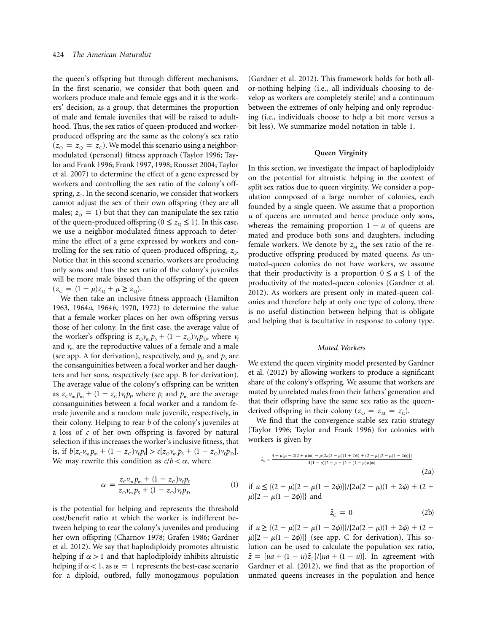the queen's offspring but through different mechanisms. In the first scenario, we consider that both queen and workers produce male and female eggs and it is the workers' decision, as a group, that determines the proportion of male and female juveniles that will be raised to adulthood. Thus, the sex ratios of queen-produced and workerproduced offspring are the same as the colony's sex ratio  $(z_{\rm o} = z_{\rm o} = z_{\rm c})$ . We model this scenario using a neighbormodulated (personal) fitness approach (Taylor 1996; Taylor and Frank 1996; Frank 1997, 1998; Rousset 2004; Taylor et al. 2007) to determine the effect of a gene expressed by workers and controlling the sex ratio of the colony's offspring,  $z_c$ . In the second scenario, we consider that workers cannot adjust the sex of their own offspring (they are all males;  $z_0 = 1$  but that they can manipulate the sex ratio of the queen-produced offspring ( $0 \le z_0 \le 1$ ). In this case, we use a neighbor-modulated fitness approach to determine the effect of a gene expressed by workers and controlling for the sex ratio of queen-produced offspring, *z*<sub>0</sub>. Notice that in this second scenario, workers are producing only sons and thus the sex ratio of the colony's juveniles will be more male biased than the offspring of the queen  $(z_c = (1 - \mu)z_0 + \mu \ge z_0).$ 

We then take an inclusive fitness approach (Hamilton 1963, 1964*a*, 1964*b*, 1970, 1972) to determine the value that a female worker places on her own offspring versus those of her colony. In the first case, the average value of the worker's offspring is  $z_0 v_m p_s + (1 - z_0) v_f p_p$ , where  $v_f$ and  $v_m$  are the reproductive values of a female and a male (see app. A for derivation), respectively, and  $p<sub>D</sub>$  and  $p<sub>S</sub>$  are the consanguinities between a focal worker and her daughters and her sons, respectively (see app. B for derivation). The average value of the colony's offspring can be written as  $z_{\text{C}}v_{\text{m}}p_{\text{m}} + (1 - z_{\text{C}})v_{\text{f}}p_{\text{p}}$  where  $p_{\text{f}}$  and  $p_{\text{m}}$  are the average consanguinities between a focal worker and a random female juvenile and a random male juvenile, respectively, in their colony. Helping to rear *b* of the colony's juveniles at a loss of *c* of her own offspring is favored by natural selection if this increases the worker's inclusive fitness, that is, if  $b[z_c v_m p_m + (1 - z_c)v_f p_f] > c[z_o v_m p_s + (1 - z_o)v_f p_b].$ We may rewrite this condition as  $c/b < \alpha$ , where

$$
\alpha = \frac{z_{\rm C} \nu_{\rm m} p_{\rm m} + (1 - z_{\rm C}) \nu_{\rm f} p_{\rm f}}{z_{\rm O} \nu_{\rm m} p_{\rm s} + (1 - z_{\rm O}) \nu_{\rm f} p_{\rm D}} \tag{1}
$$

is the potential for helping and represents the threshold cost/benefit ratio at which the worker is indifferent between helping to rear the colony's juveniles and producing her own offspring (Charnov 1978; Grafen 1986; Gardner et al. 2012). We say that haplodiploidy promotes altruistic helping if  $\alpha > 1$  and that haplodiploidy inhibits altruistic helping if  $\alpha$  < 1, as  $\alpha$  = 1 represents the best-case scenario for a diploid, outbred, fully monogamous population

(Gardner et al. 2012). This framework holds for both allor-nothing helping (i.e., all individuals choosing to develop as workers are completely sterile) and a continuum between the extremes of only helping and only reproducing (i.e., individuals choose to help a bit more versus a bit less). We summarize model notation in table 1.

## **Queen Virginity**

In this section, we investigate the impact of haplodiploidy on the potential for altruistic helping in the context of split sex ratios due to queen virginity. We consider a population composed of a large number of colonies, each founded by a single queen. We assume that a proportion *u* of queens are unmated and hence produce only sons, whereas the remaining proportion  $1 - u$  of queens are mated and produce both sons and daughters, including female workers. We denote by  $z<sub>M</sub>$  the sex ratio of the reproductive offspring produced by mated queens. As unmated-queen colonies do not have workers, we assume that their productivity is a proportion  $0 \le a \le 1$  of the productivity of the mated-queen colonies (Gardner et al. 2012). As workers are present only in mated-queen colonies and therefore help at only one type of colony, there is no useful distinction between helping that is obligate and helping that is facultative in response to colony type.

#### *Mated Workers*

We extend the queen virginity model presented by Gardner et al. (2012) by allowing workers to produce a significant share of the colony's offspring. We assume that workers are mated by unrelated males from their fathers' generation and that their offspring have the same sex ratio as the queenderived offspring in their colony  $(z_{\rm o} = z_{\rm M} = z_{\rm C})$ .

We find that the convergence stable sex ratio strategy (Taylor 1996; Taylor and Frank 1996) for colonies with workers is given by

$$
\bar{z}_{\rm c} = \frac{4 - \mu[\mu - 2(2 + \mu)\phi] - \mu[2a(2 - \mu)(1 + 2\phi) + (2 + \mu)(2 - \mu(1 - 2\phi))]}{4(1 - u)\{2 - \mu + [2 - (1 - \mu)\mu]\phi\}}
$$
\n(2a)

if 
$$
u \le \{(2 + \mu)[2 - \mu(1 - 2\phi)]\}/[2a(2 - \mu)(1 + 2\phi) + (2 + \mu)[2 - \mu(1 - 2\phi)]\}
$$
 and

$$
\bar{z}_{\rm C} = 0 \tag{2b}
$$

if  $u \geq \frac{(2 + \mu)[2 - \mu(1 - 2\phi)]}{2a(2 - \mu)(1 + 2\phi)} + \frac{(2 + \mu)^2}{2a^2 - \mu^2}$  $\mu$ [2 –  $\mu$ (1 – 2 $\phi$ )]} (see app. C for derivation). This solution can be used to calculate the population sex ratio,  $\bar{z} = [ua + (1 - u)\bar{z}_c]/[ua + (1 - u)].$  In agreement with Gardner et al. (2012), we find that as the proportion of unmated queens increases in the population and hence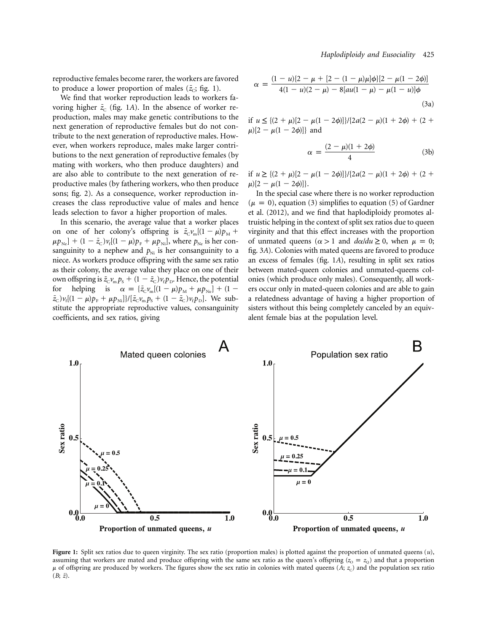reproductive females become rarer, the workers are favored to produce a lower proportion of males  $(\bar{z}_c;$  fig. 1).

We find that worker reproduction leads to workers favoring higher  $\bar{z}_c$  (fig. 1*A*). In the absence of worker reproduction, males may make genetic contributions to the next generation of reproductive females but do not contribute to the next generation of reproductive males. However, when workers reproduce, males make larger contributions to the next generation of reproductive females (by mating with workers, who then produce daughters) and are also able to contribute to the next generation of reproductive males (by fathering workers, who then produce sons; fig. 2). As a consequence, worker reproduction increases the class reproductive value of males and hence leads selection to favor a higher proportion of males.

In this scenario, the average value that a worker places on one of her colony's offspring is  $\bar{z}_{\text{C}}v_{\text{m}}[(1 - \mu)p_{\text{M}} +$  $(\mu p_{\text{Ne}}) + (1 - \bar{z}_{\text{C}}) \nu_{\text{f}} [(1 - \mu) p_{\text{F}} + \mu p_{\text{Ni}}]$ , where  $p_{\text{Ne}}$  is her consanguinity to a nephew and  $p_{Ni}$  is her consanguinity to a niece. As workers produce offspring with the same sex ratio as their colony, the average value they place on one of their own offspring is  $\bar{z}_C v_m p_s + (1 - \bar{z}_C) v_f p_D$ . Hence, the potential for helping is  $\alpha = {\bar{z}_c v_m[(1 - \mu)p_M + \mu p_{Ne}]} + (1 - \mu)p_{Ne}$  $(\bar{z}_c) v_f [(1 - \mu) p_F + \mu p_{Ni}] \} / [\bar{z}_c v_m p_s + (1 - \bar{z}_c) v_f p_{D}]$ . We substitute the appropriate reproductive values, consanguinity coefficients, and sex ratios, giving

$$
\alpha = \frac{(1 - u)\{2 - \mu + [2 - (1 - \mu)\mu]\phi\}[2 - \mu(1 - 2\phi)]}{4(1 - u)(2 - \mu) - 8[au(1 - \mu) - \mu(1 - u)]\phi}
$$
\n(3a)

if  $u \leq \frac{(2 + \mu)[2 - \mu(1 - 2\phi)]}{2a(2 - \mu)(1 + 2\phi)} + \frac{(2 + \mu)^2}{2a^2 - \mu^2}$  $\mu$ )[2 –  $\mu$ (1 – 2 $\phi$ )]} and

$$
\alpha = \frac{(2 - \mu)(1 + 2\phi)}{4} \tag{3b}
$$

if  $u \geq \frac{(2 + \mu)[2 - \mu(1 - 2\phi)]}{2a(2 - \mu)(1 + 2\phi)} + \frac{(2 + \mu)^2}{2a^2 - \mu^2}$  $\mu$ [2 –  $\mu$ (1 – 2 $\phi$ ]].

In the special case where there is no worker reproduction  $(\mu = 0)$ , equation (3) simplifies to equation (5) of Gardner et al. (2012), and we find that haplodiploidy promotes altruistic helping in the context of split sex ratios due to queen virginity and that this effect increases with the proportion of unmated queens ( $\alpha > 1$  and  $d\alpha/du \ge 0$ , when  $\mu = 0$ ; fig. 3*A*). Colonies with mated queens are favored to produce an excess of females (fig. 1*A*), resulting in split sex ratios between mated-queen colonies and unmated-queens colonies (which produce only males). Consequently, all workers occur only in mated-queen colonies and are able to gain a relatedness advantage of having a higher proportion of sisters without this being completely canceled by an equivalent female bias at the population level.



**Figure 1:** Split sex ratios due to queen virginity. The sex ratio (proportion males) is plotted against the proportion of unmated queens (*u*), assuming that workers are mated and produce offspring with the same sex ratio as the queen's offspring ( $z_0 = z_0$ ) and that a proportion  $\mu$  of offspring are produced by workers. The figures show the sex ratio in colonies with mated queens (*A*; *z*<sub>C</sub>) and the population sex ratio  $(B; \overline{z})$ .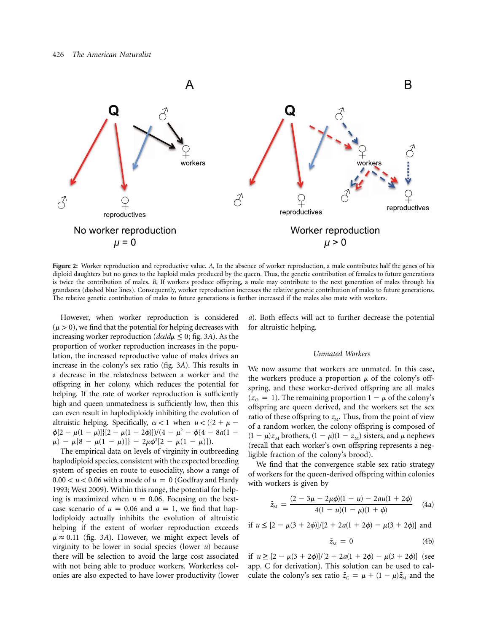

**Figure 2:** Worker reproduction and reproductive value. *A*, In the absence of worker reproduction, a male contributes half the genes of his diploid daughters but no genes to the haploid males produced by the queen. Thus, the genetic contribution of females to future generations is twice the contribution of males. *B*, If workers produce offspring, a male may contribute to the next generation of males through his grandsons (dashed blue lines). Consequently, worker reproduction increases the relative genetic contribution of males to future generations. The relative genetic contribution of males to future generations is further increased if the males also mate with workers.

However, when worker reproduction is considered  $(\mu > 0)$ , we find that the potential for helping decreases with increasing worker reproduction ( $d\alpha/d\mu \leq 0$ ; fig. 3A). As the proportion of worker reproduction increases in the population, the increased reproductive value of males drives an increase in the colony's sex ratio (fig. 3*A*). This results in a decrease in the relatedness between a worker and the offspring in her colony, which reduces the potential for helping. If the rate of worker reproduction is sufficiently high and queen unmatedness is sufficiently low, then this can even result in haplodiploidy inhibiting the evolution of altruistic helping. Specifically,  $\alpha < 1$  when  $u < (\{2 + \mu - \}$  $\phi[2-\mu(1-\mu)]\left[(2-\mu(1-2\phi)]\right)/(4-\mu^2-\phi\left{(4-8a(1-\mu)\right)}\right]$  $\mu$ ) -  $\mu$ [8 -  $\mu$ (1 -  $\mu$ )]} - 2 $\mu$  $\phi$ <sup>2</sup>[2 -  $\mu$ (1 -  $\mu$ )]).

The empirical data on levels of virginity in outbreeding haplodiploid species, consistent with the expected breeding system of species en route to eusociality, show a range of  $0.00 < u < 0.06$  with a mode of  $u = 0$  (Godfray and Hardy 1993; West 2009). Within this range, the potential for helping is maximized when  $u = 0.06$ . Focusing on the bestcase scenario of  $u = 0.06$  and  $a = 1$ , we find that haplodiploidy actually inhibits the evolution of altruistic helping if the extent of worker reproduction exceeds  $\mu \approx 0.11$  (fig. 3A). However, we might expect levels of virginity to be lower in social species (lower *u*) because there will be selection to avoid the large cost associated with not being able to produce workers. Workerless colonies are also expected to have lower productivity (lower

*a*). Both effects will act to further decrease the potential for altruistic helping.

#### *Unmated Workers*

We now assume that workers are unmated. In this case, the workers produce a proportion  $\mu$  of the colony's offspring, and these worker-derived offspring are all males  $(z_0 = 1)$ . The remaining proportion  $1 - \mu$  of the colony's offspring are queen derived, and the workers set the sex ratio of these offspring to  $z_M$ . Thus, from the point of view of a random worker, the colony offspring is composed of  $(1 - \mu)z_M$  brothers,  $(1 - \mu)(1 - z_M)$  sisters, and  $\mu$  nephews (recall that each worker's own offspring represents a negligible fraction of the colony's brood).

We find that the convergence stable sex ratio strategy of workers for the queen-derived offspring within colonies with workers is given by

$$
\bar{z}_{\scriptscriptstyle M} = \frac{(2 - 3\mu - 2\mu\phi)(1 - u) - 2au(1 + 2\phi)}{4(1 - u)(1 - \mu)(1 + \phi)} \tag{4a}
$$

if  $u \leq [2 - \mu(3 + 2\phi)]/[2 + 2a(1 + 2\phi) - \mu(3 + 2\phi)]$  and

$$
\bar{z}_{\rm M} = 0 \tag{4b}
$$

if  $u \ge [2 - \mu(3 + 2\phi)]/[2 + 2a(1 + 2\phi) - \mu(3 + 2\phi)]$  (see app. C for derivation). This solution can be used to calculate the colony's sex ratio  $\bar{z}_c = \mu + (1 - \mu)\bar{z}_M$  and the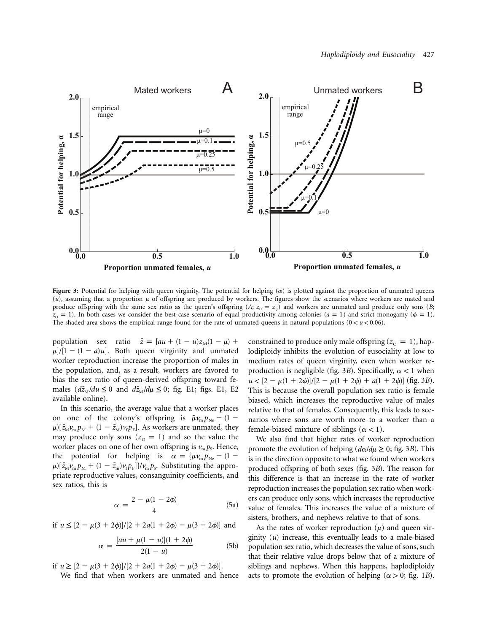

**Figure 3:** Potential for helping with queen virginity. The potential for helping  $(\alpha)$  is plotted against the proportion of unmated queens  $(u)$ , assuming that a proportion  $\mu$  of offspring are produced by workers. The figures show the scenarios where workers are mated and produce offspring with the same sex ratio as the queen's offspring (*A*;  $z_0 = z_0$ ) and workers are unmated and produce only sons (*B*;  $z_0 = 1$ ). In both cases we consider the best-case scenario of equal productivity among colonies ( $a = 1$ ) and strict monogamy ( $\phi = 1$ ). The shaded area shows the empirical range found for the rate of unmated queens in natural populations  $(0 < u < 0.06)$ .

population sex ratio  $\bar{z} = [au + (1 - u)z_M(1 - \mu) +$  $\mu$ /[1 – (1 – *a*)*u*]. Both queen virginity and unmated worker reproduction increase the proportion of males in the population, and, as a result, workers are favored to bias the sex ratio of queen-derived offspring toward females  $(d\bar{z}_M/du \leq 0$  and  $d\bar{z}_M/d\mu \leq 0$ ; fig. E1; figs. E1, E2 available online).

In this scenario, the average value that a worker places on one of the colony's offspring is  $\bar{\mu}v_{\rm m}p_{\rm Ne} + (1 \mu$ )[ $\bar{z}_{M}v_{\rm m}p_{\rm M} + (1 - \bar{z}_{\rm M})v_{\rm f}p_{\rm F}$ ]. As workers are unmated, they may produce only sons  $(z_0 = 1)$  and so the value the worker places on one of her own offspring is  $v_m p_s$ . Hence, the potential for helping is  $\alpha = {\mu v_{\rm m} p_{\rm Ne} + (1 - \alpha)^2}$  $\mu$ )[ $\bar{z}_{M}v_{m}p_{M} + (1 - \bar{z}_{m})v_{f}p_{F}$ ]}/ $v_{m}p_{S}$ . Substituting the appropriate reproductive values, consanguinity coefficients, and sex ratios, this is

$$
\alpha = \frac{2 - \mu(1 - 2\phi)}{4} \tag{5a}
$$

if  $u \leq [2 - \mu(3 + 2\phi)]/[2 + 2a(1 + 2\phi) - \mu(3 + 2\phi)]$  and

$$
\alpha = \frac{[au + \mu(1 - u)](1 + 2\phi)}{2(1 - u)}
$$
(5b)

if  $u \geq [2 - \mu(3 + 2\phi)]/[2 + 2a(1 + 2\phi) - \mu(3 + 2\phi)].$ 

We find that when workers are unmated and hence

constrained to produce only male offspring  $(z_0 = 1)$ , haplodiploidy inhibits the evolution of eusociality at low to medium rates of queen virginity, even when worker reproduction is negligible (fig. 3*B*). Specifically,  $\alpha$  < 1 when  $u < [2 - \mu(1 + 2\phi)]/[2 - \mu(1 + 2\phi) + a(1 + 2\phi)]$  (fig. 3*B*). This is because the overall population sex ratio is female biased, which increases the reproductive value of males relative to that of females. Consequently, this leads to scenarios where sons are worth more to a worker than a female-biased mixture of siblings ( $\alpha$  < 1).

We also find that higher rates of worker reproduction promote the evolution of helping ( $d\alpha/d\mu \geq 0$ ; fig. 3*B*). This is in the direction opposite to what we found when workers produced offspring of both sexes (fig. 3*B*). The reason for this difference is that an increase in the rate of worker reproduction increases the population sex ratio when workers can produce only sons, which increases the reproductive value of females. This increases the value of a mixture of sisters, brothers, and nephews relative to that of sons.

As the rates of worker reproduction  $(\mu)$  and queen virginity (*u*) increase, this eventually leads to a male-biased population sex ratio, which decreases the value of sons, such that their relative value drops below that of a mixture of siblings and nephews. When this happens, haplodiploidy acts to promote the evolution of helping ( $\alpha > 0$ ; fig. 1*B*).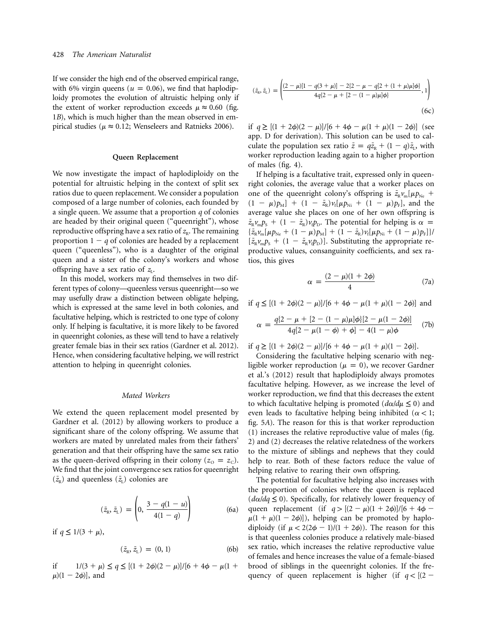If we consider the high end of the observed empirical range, with 6% virgin queens ( $u = 0.06$ ), we find that haplodiploidy promotes the evolution of altruistic helping only if the extent of worker reproduction exceeds  $\mu \approx 0.60$  (fig. 1*B*), which is much higher than the mean observed in empirical studies ( $\mu \approx 0.12$ ; Wenseleers and Ratnieks 2006).

## **Queen Replacement**

We now investigate the impact of haplodiploidy on the potential for altruistic helping in the context of split sex ratios due to queen replacement. We consider a population composed of a large number of colonies, each founded by a single queen. We assume that a proportion *q* of colonies are headed by their original queen ("queenright"), whose reproductive offspring have a sex ratio of  $z<sub>R</sub>$ . The remaining proportion  $1 - q$  of colonies are headed by a replacement queen ("queenless"), who is a daughter of the original queen and a sister of the colony's workers and whose offspring have a sex ratio of  $z_L$ .

In this model, workers may find themselves in two different types of colony—queenless versus queenright—so we may usefully draw a distinction between obligate helping, which is expressed at the same level in both colonies, and facultative helping, which is restricted to one type of colony only. If helping is facultative, it is more likely to be favored in queenright colonies, as these will tend to have a relatively greater female bias in their sex ratios (Gardner et al. 2012). Hence, when considering facultative helping, we will restrict attention to helping in queenright colonies.

## *Mated Workers*

We extend the queen replacement model presented by Gardner et al. (2012) by allowing workers to produce a significant share of the colony offspring. We assume that workers are mated by unrelated males from their fathers' generation and that their offspring have the same sex ratio as the queen-derived offspring in their colony ( $z_0 = z_c$ ). We find that the joint convergence sex ratios for queenright  $(\bar{z}_{R})$  and queenless  $(\bar{z}_{L})$  colonies are

$$
(\bar{z}_{R}, \bar{z}_{L}) = \left(0, \frac{3 - q(1 - u)}{4(1 - q)}\right)
$$
 (6a)

if  $q \leq 1/(3 + \mu)$ ,

$$
(\bar{z}_{R}, \bar{z}_{L}) = (0, 1) \tag{6b}
$$

if  $1/(3 + \mu) \le q \le [(1 + 2\phi)(2 - \mu)]/[6 + 4\phi - \mu(1 +$  $\mu$ ) $(1 - 2\phi)$ ], and

$$
(\bar{z}_{\rm R}, \bar{z}_{\rm L}) = \left( \frac{(2 - \mu)[1 - q(3 + \mu)] - 2\{2 - \mu - q[2 + (1 + \mu)\mu]\phi\}}{4q\{2 - \mu + [2 - (1 - \mu)\mu]\phi\}}, 1 \right)
$$
(6c)

if  $q \ge [(1 + 2\phi)(2 - \mu)]/[6 + 4\phi - \mu(1 + \mu)(1 - 2\phi)]$  (see app. D for derivation). This solution can be used to calculate the population sex ratio  $\bar{z} = q\bar{z}_R + (1 - q)\bar{z}_L$ , with worker reproduction leading again to a higher proportion of males (fig. 4).

If helping is a facultative trait, expressed only in queenright colonies, the average value that a worker places on one of the queenright colony's offspring is  $\bar{z}_{R} v_{m} [\mu p_{Ne}]$  $(1 - \mu)p_M$  +  $(1 - \bar{z}_R)v_f[\mu p_{Ni} + (1 - \mu)p_F]$ , and the average value she places on one of her own offspring is  $\bar{z}_{R} \nu_{m} p_{S} + (1 - \bar{z}_{R}) \nu_{f} p_{D}$ . The potential for helping is  $\alpha =$  $\{\bar{z}_{R}\nu_{m}[\mu p_{Ne} + (1 - \mu)p_{M}] + (1 - \bar{z}_{R})\nu_{f}[\mu p_{Ni} + (1 - \mu)p_{F}]\}$  $[\bar{z}_{R}v_{m}p_{s} + (1 - \bar{z}_{R}v_{i}p_{D})]$ . Substituting the appropriate reproductive values, consanguinity coefficients, and sex ratios, this gives

$$
\alpha = \frac{(2 - \mu)(1 + 2\phi)}{4} \tag{7a}
$$

if 
$$
q \leq [(1 + 2\phi)(2 - \mu)]/[6 + 4\phi - \mu(1 + \mu)(1 - 2\phi)]
$$
 and

$$
\alpha = \frac{q\{2 - \mu + [2 - (1 - \mu)\mu]\phi\}[2 - \mu(1 - 2\phi)]}{4q[2 - \mu(1 - \phi) + \phi] - 4(1 - \mu)\phi} \tag{7b}
$$

if  $q \geq [(1 + 2\phi)(2 - \mu)]/[6 + 4\phi - \mu(1 + \mu)(1 - 2\phi)].$ 

Considering the facultative helping scenario with negligible worker reproduction ( $\mu = 0$ ), we recover Gardner et al.'s (2012) result that haplodiploidy always promotes facultative helping. However, as we increase the level of worker reproduction, we find that this decreases the extent to which facultative helping is promoted  $(d\alpha/d\mu \leq 0)$  and even leads to facultative helping being inhibited ( $\alpha$  < 1; fig. 5*A*). The reason for this is that worker reproduction (1) increases the relative reproductive value of males (fig. 2) and (2) decreases the relative relatedness of the workers to the mixture of siblings and nephews that they could help to rear. Both of these factors reduce the value of helping relative to rearing their own offspring.

The potential for facultative helping also increases with the proportion of colonies where the queen is replaced  $(d\alpha/dq \leq 0)$ . Specifically, for relatively lower frequency of queen replacement (if  $q > [(2 - \mu)(1 + 2\phi)]/[6 + 4\phi \mu(1 + \mu)(1 - 2\phi)$ ), helping can be promoted by haplodiploidy (if  $\mu < 2(2\phi - 1)/(1 + 2\phi)$ ). The reason for this is that queenless colonies produce a relatively male-biased sex ratio, which increases the relative reproductive value of females and hence increases the value of a female-biased brood of siblings in the queenright colonies. If the frequency of queen replacement is higher (if  $q < |(2 -$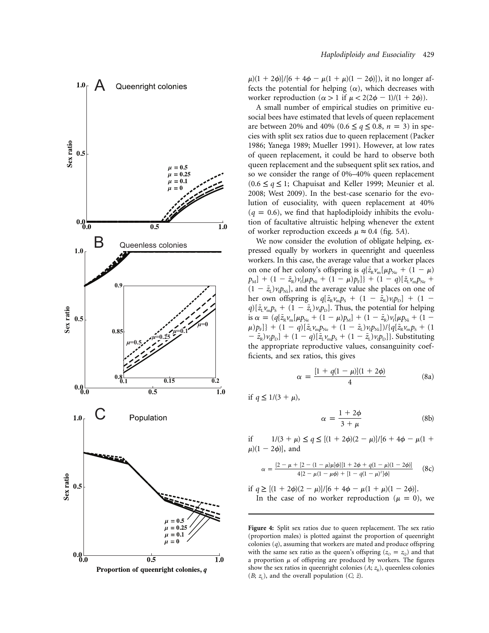

 $\mu$ )(1 + 2 $\phi$ )]/[6 + 4 $\phi$  –  $\mu$ (1 +  $\mu$ )(1 – 2 $\phi$ )]), it no longer affects the potential for helping  $(\alpha)$ , which decreases with worker reproduction  $(\alpha > 1$  if  $\mu < 2(2\phi - 1)/(1 + 2\phi))$ .

A small number of empirical studies on primitive eusocial bees have estimated that levels of queen replacement are between 20% and 40% (0.6  $\leq q \leq 0.8$ ,  $n = 3$ ) in species with split sex ratios due to queen replacement (Packer 1986; Yanega 1989; Mueller 1991). However, at low rates of queen replacement, it could be hard to observe both queen replacement and the subsequent split sex ratios, and so we consider the range of 0%–40% queen replacement ( $0.6 ≤ q ≤ 1$ ; Chapuisat and Keller 1999; Meunier et al. 2008; West 2009). In the best-case scenario for the evolution of eusociality, with queen replacement at 40%  $(q = 0.6)$ , we find that haplodiploidy inhibits the evolution of facultative altruistic helping whenever the extent of worker reproduction exceeds  $\mu \approx 0.4$  (fig. 5A).

We now consider the evolution of obligate helping, expressed equally by workers in queenright and queenless workers. In this case, the average value that a worker places on one of her colony's offspring is  $q\{\bar{z}_{\rm R}v_{\rm m}[\mu p_{\rm Ne} + (1 - \mu)\]$  $p_{\text{M}}$ ] +  $(1 - \bar{z}_{\text{R}}) v_{\text{f}} [\mu p_{\text{Ni}} + (1 - \mu) p_{\text{F}}]$ } +  $(1 - q) [\bar{z}_{\text{L}} v_{\text{m}} p_{\text{Ne}} +$  $(1 - \bar{z}_L) v_i p_{Ni}$ , and the average value she places on one of her own offspring is  $q[\bar{z}_{\rm R}v_{\rm m}p_{\rm s} + (1 - \bar{z}_{\rm R})v_{\rm f}p_{\rm D}] + (1 - \bar{z}_{\rm R})v_{\rm s}$  $q$ )[ $\bar{z}_L v_m p_s + (1 - \bar{z}_L) v_i p_p$ ]. Thus, the potential for helping is  $\alpha = (q \{ \bar{z}_{\rm R} v_{\rm m} [\mu p_{\rm Ne} + (1 - \mu) p_{\rm M}] + (1 - \bar{z}_{\rm R}) v_{\rm f} [\mu p_{\rm Ni} + (1 - \mu) p_{\rm M}]$  $\mu$ ) $p_{\rm F}$ ]} + (1 - *q*)[ $\bar{z}_{\rm L} v_{\rm m} p_{\rm Ne}$  + (1 -  $\bar{z}_{\rm L} v_{\rm f} p_{\rm Ni}$ ])/{ $q[\bar{z}_{\rm R} v_{\rm m} p_{\rm S}$  + (1  $- \bar{z}_{R}$ ) $v_{t}p_{D}$ ] + (1 - *q*)[ $\bar{z}_{L}v_{m}p_{S}$  + (1 -  $\bar{z}_{L}$ ) $v_{t}p_{D}$ ]}. Substituting the appropriate reproductive values, consanguinity coefficients, and sex ratios, this gives

$$
\alpha = \frac{[1 + q(1 - \mu)](1 + 2\phi)}{4} \tag{8a}
$$

if  $q \leq 1/(3 + \mu)$ ,

$$
\alpha = \frac{1 + 2\phi}{3 + \mu} \tag{8b}
$$

if  $1/(3 + \mu) \le q \le [(1 + 2\phi)(2 - \mu)]/[6 + 4\phi - \mu(1 +$  $\mu$ ) $(1 - 2\phi)$ ], and

$$
\alpha = \frac{\{2 - \mu + [2 - (1 - \mu)\mu]\phi\}[1 + 2\phi + q(1 - \mu)(1 - 2\phi)]}{4\{2 - \mu(1 - \mu\phi) + [1 - q(1 - \mu)^2]\phi\}} \quad (8c)
$$

if 
$$
q \ge [(1 + 2\phi)(2 - \mu)]/[6 + 4\phi - \mu(1 + \mu)(1 - 2\phi)].
$$
  
In the case of no worker reproduction ( $\mu = 0$ ), we

**Figure 4:** Split sex ratios due to queen replacement. The sex ratio (proportion males) is plotted against the proportion of queenright colonies (*q*), assuming that workers are mated and produce offspring with the same sex ratio as the queen's offspring  $(z_0 = z_0)$  and that a proportion  $\mu$  of offspring are produced by workers. The figures show the sex ratios in queenright colonies  $(A; z_R)$ , queenless colonies  $(B; z<sub>L</sub>)$ , and the overall population  $(C; \bar{z})$ .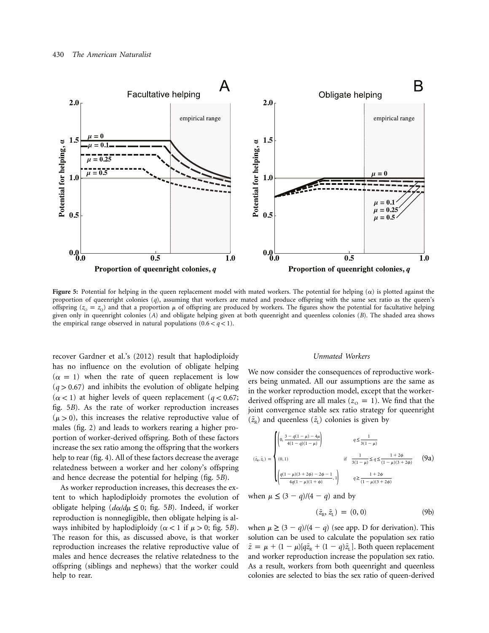

**Figure 5:** Potential for helping in the queen replacement model with mated workers. The potential for helping  $(\alpha)$  is plotted against the proportion of queenright colonies (*q*), assuming that workers are mated and produce offspring with the same sex ratio as the queen's offspring ( $z_0 = z_0$ ) and that a proportion  $\mu$  of offspring are produced by workers. The figures show the potential for facultative helping given only in queenright colonies (*A*) and obligate helping given at both queenright and queenless colonies (*B*). The shaded area shows the empirical range observed in natural populations  $(0.6 < q < 1)$ .

recover Gardner et al.'s (2012) result that haplodiploidy has no influence on the evolution of obligate helping  $(\alpha = 1)$  when the rate of queen replacement is low  $(q > 0.67)$  and inhibits the evolution of obligate helping  $(\alpha < 1)$  at higher levels of queen replacement ( $q < 0.67$ ; fig. 5*B*). As the rate of worker reproduction increases  $(\mu > 0)$ , this increases the relative reproductive value of males (fig. 2) and leads to workers rearing a higher proportion of worker-derived offspring. Both of these factors increase the sex ratio among the offspring that the workers help to rear (fig. 4). All of these factors decrease the average relatedness between a worker and her colony's offspring and hence decrease the potential for helping (fig. 5*B*).

As worker reproduction increases, this decreases the extent to which haplodiploidy promotes the evolution of obligate helping  $(d\alpha/d\mu \leq 0;$  fig. 5*B*). Indeed, if worker reproduction is nonnegligible, then obligate helping is always inhibited by haplodiploidy ( $\alpha$  < 1 if  $\mu$  > 0; fig. 5*B*). The reason for this, as discussed above, is that worker reproduction increases the relative reproductive value of males and hence decreases the relative relatedness to the offspring (siblings and nephews) that the worker could help to rear.

#### *Unmated Workers*

We now consider the consequences of reproductive workers being unmated. All our assumptions are the same as in the worker reproduction model, except that the workerderived offspring are all males ( $z<sub>o</sub> = 1$ ). We find that the joint convergence stable sex ratio strategy for queenright  $(\bar{z}_{R})$  and queenless  $(\bar{z}_{I})$  colonies is given by

$$
(\tilde{z}_{\alpha}, \tilde{z}_{\alpha}) = \begin{cases} \left(0, \frac{3 - q(1 - \mu) - 4\mu}{4(1 - q)(1 - \mu)}\right) & q \leq \frac{1}{3(1 - \mu)} \\ & \text{if } \frac{1}{3(1 - \mu)} \leq q \leq \frac{1 + 2\phi}{(1 - \mu)(3 + 2\phi)} \\ & \text{if } \frac{1}{3(1 - \mu)} \leq q \leq \frac{1 + 2\phi}{(1 - \mu)(3 + 2\phi)} \end{cases} (9a)
$$

when  $\mu \leq (3 - q)/(4 - q)$  and by

$$
(\bar{z}_{R}, \bar{z}_{L}) = (0, 0) \tag{9b}
$$

when  $\mu \geq (3 - q)/(4 - q)$  (see app. D for derivation). This solution can be used to calculate the population sex ratio  $\bar{z} = \mu + (1 - \mu)[q\bar{z}_R + (1 - q)\bar{z}_L]$ . Both queen replacement and worker reproduction increase the population sex ratio. As a result, workers from both queenright and queenless colonies are selected to bias the sex ratio of queen-derived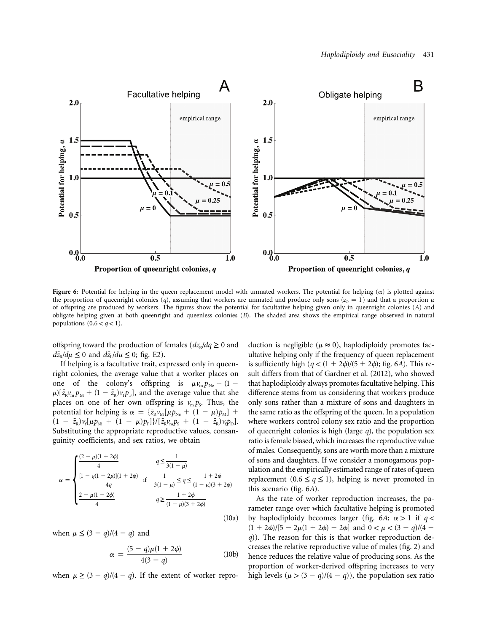

**Figure 6:** Potential for helping in the queen replacement model with unmated workers. The potential for helping  $(\alpha)$  is plotted against the proportion of queenright colonies (*q*), assuming that workers are unmated and produce only sons ( $z_0 = 1$ ) and that a proportion  $\mu$ of offspring are produced by workers. The figures show the potential for facultative helping given only in queenright colonies (*A*) and obligate helping given at both queenright and queenless colonies (*B*). The shaded area shows the empirical range observed in natural populations  $(0.6 < q < 1)$ .

offspring toward the production of females ( $d\bar{z}_R/dq \geq 0$  and  $d\bar{z}_p/d\mu \leq 0$  and  $d\bar{z}_p/d\mu \leq 0$ ; fig. E2).

If helping is a facultative trait, expressed only in queenright colonies, the average value that a worker places on one of the colony's offspring is  $\mu v_m p_{\text{Ne}} + (1 \mu$ )[ $\bar{z}_{R}v_{m}p_{M} + (1 - \bar{z}_{R})v_{f}p_{F}$ ], and the average value that she places on one of her own offspring is  $v_m p_s$ . Thus, the potential for helping is  $\alpha = {\bar{z}}_R v_M [\mu p_{Ne} + (1 - \mu) p_M] +$  $(1 - \bar{z}_{R})v_{f}[\mu p_{Ni} + (1 - \mu)p_{F}]/[\bar{z}_{R}v_{m}p_{S} + (1 - \bar{z}_{R})v_{f}p_{D}].$ Substituting the appropriate reproductive values, consanguinity coefficients, and sex ratios, we obtain

$$
\alpha = \begin{cases}\n\frac{(2 - \mu)(1 + 2\phi)}{4} & q \le \frac{1}{3(1 - \mu)} \\
\frac{[1 - q(1 - 2\mu)](1 + 2\phi)}{4q} & \text{if } \frac{1}{3(1 - \mu)} \le q \le \frac{1 + 2\phi}{(1 - \mu)(3 + 2\phi)} \\
\frac{2 - \mu(1 - 2\phi)}{4} & q \ge \frac{1 + 2\phi}{(1 - \mu)(3 + 2\phi)}\n\end{cases}
$$

(10a)

when  $\mu \leq (3 - q)/(4 - q)$  and

$$
\alpha = \frac{(5 - q)\mu(1 + 2\phi)}{4(3 - q)}
$$
 (10b)

when  $\mu \geq (3 - q)/(4 - q)$ . If the extent of worker repro-

duction is negligible ( $\mu \approx 0$ ), haplodiploidy promotes facultative helping only if the frequency of queen replacement is sufficiently high  $(q < (1 + 2\phi)/(5 + 2\phi)$ ; fig. 6A). This result differs from that of Gardner et al. (2012), who showed that haplodiploidy always promotes facultative helping. This difference stems from us considering that workers produce only sons rather than a mixture of sons and daughters in the same ratio as the offspring of the queen. In a population where workers control colony sex ratio and the proportion of queenright colonies is high (large *q*), the population sex ratio is female biased, which increases the reproductive value of males. Consequently, sons are worth more than a mixture of sons and daughters. If we consider a monogamous population and the empirically estimated range of rates of queen replacement ( $0.6 \leq q \leq 1$ ), helping is never promoted in this scenario (fig. 6*A*).

As the rate of worker reproduction increases, the parameter range over which facultative helping is promoted by haplodiploidy becomes larger (fig. 6A;  $\alpha > 1$  if  $q <$  $(1 + 2\phi)/[5 - 2\mu(1 + 2\phi) + 2\phi]$  and  $0 < \mu < (3 - q)/(4 - q)$ *q*)). The reason for this is that worker reproduction decreases the relative reproductive value of males (fig. 2) and hence reduces the relative value of producing sons. As the proportion of worker-derived offspring increases to very high levels  $(\mu > (3 - q)/(4 - q))$ , the population sex ratio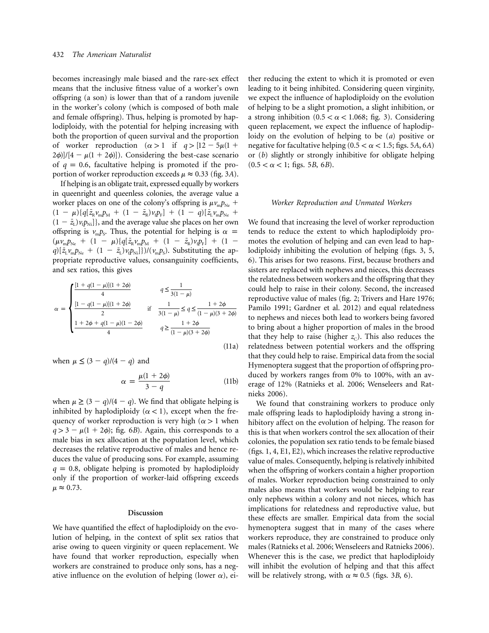becomes increasingly male biased and the rare-sex effect means that the inclusive fitness value of a worker's own offspring (a son) is lower than that of a random juvenile in the worker's colony (which is composed of both male and female offspring). Thus, helping is promoted by haplodiploidy, with the potential for helping increasing with both the proportion of queen survival and the proportion of worker reproduction  $(\alpha > 1$  if  $q > [12 - 5\mu(1 +$  $2\phi$ ]/[4 –  $\mu$ (1 + 2 $\phi$ ]]). Considering the best-case scenario of  $q = 0.6$ , facultative helping is promoted if the proportion of worker reproduction exceeds  $\mu \approx 0.33$  (fig. 3A).

If helping is an obligate trait, expressed equally by workers in queenright and queenless colonies, the average value a worker places on one of the colony's offspring is  $\mu v_{m} p_{Ne}$  +  $(1 - \mu)\{q[\bar{z}_{R}v_{m}p_{M} + (1 - \bar{z}_{R})v_{t}p_{F}] + (1 - q)[\bar{z}_{L}v_{m}p_{Ne} +$  $(1 - \bar{z}_L) v_i p_{\text{Ni}}$ ]}, and the average value she places on her own offspring is  $v_m p_s$ . Thus, the potential for helping is  $\alpha$  =  $(\mu v_m p_{Ne} + (1 - \mu) {q[\bar{z}_R v_m p_M + (1 - \bar{z}_R) v_i p_F]} + (1 - \mu)$  $q$ )[ $\bar{z}_L v_m p_{Ne} + (1 - \bar{z}_L) v_i p_{Ni}$ ]})/( $v_m p_s$ ). Substituting the appropriate reproductive values, consanguinity coefficients, and sex ratios, this gives

$$
\alpha = \begin{cases}\n\frac{[1 + q(1 - \mu)](1 + 2\phi)}{4} & q \leq \frac{1}{3(1 - \mu)} \\
\frac{[1 - q(1 - \mu)](1 + 2\phi)}{2} & \text{if } \frac{1}{3(1 - \mu)} \leq q \leq \frac{1 + 2\phi}{(1 - \mu)(3 + 2\phi)} \\
\frac{1 + 2\phi + q(1 - \mu)(1 - 2\phi)}{4} & q \geq \frac{1 + 2\phi}{(1 - \mu)(3 + 2\phi)}\n\end{cases}
$$
\n(11a)

when  $\mu \leq (3 - q)/(4 - q)$  and

$$
\alpha = \frac{\mu(1 + 2\phi)}{3 - q} \tag{11b}
$$

when  $\mu \geq (3 - q)/(4 - q)$ . We find that obligate helping is inhibited by haplodiploidy ( $\alpha$  < 1), except when the frequency of worker reproduction is very high ( $\alpha > 1$  when  $q > 3 - \mu(1 + 2\phi)$ ; fig. 6*B*). Again, this corresponds to a male bias in sex allocation at the population level, which decreases the relative reproductive of males and hence reduces the value of producing sons. For example, assuming  $q = 0.8$ , obligate helping is promoted by haplodiploidy only if the proportion of worker-laid offspring exceeds  $\mu \approx 0.73$ .

#### **Discussion**

We have quantified the effect of haplodiploidy on the evolution of helping, in the context of split sex ratios that arise owing to queen virginity or queen replacement. We have found that worker reproduction, especially when workers are constrained to produce only sons, has a negative influence on the evolution of helping (lower  $\alpha$ ), either reducing the extent to which it is promoted or even leading to it being inhibited. Considering queen virginity, we expect the influence of haplodiploidy on the evolution of helping to be a slight promotion, a slight inhibition, or a strong inhibition ( $0.5 < \alpha < 1.068$ ; fig. 3). Considering queen replacement, we expect the influence of haplodiploidy on the evolution of helping to be (*a*) positive or negative for facultative helping  $(0.5 < \alpha < 1.5;$  figs. 5*A*, 6*A*) or (*b*) slightly or strongly inhibitive for obligate helping  $(0.5 < \alpha < 1;$  figs. 5*B*, 6*B*).

#### *Worker Reproduction and Unmated Workers*

We found that increasing the level of worker reproduction tends to reduce the extent to which haplodiploidy promotes the evolution of helping and can even lead to haplodiploidy inhibiting the evolution of helping (figs. 3, 5, 6). This arises for two reasons. First, because brothers and sisters are replaced with nephews and nieces, this decreases the relatedness between workers and the offspring that they could help to raise in their colony. Second, the increased reproductive value of males (fig. 2; Trivers and Hare 1976; Pamilo 1991; Gardner et al. 2012) and equal relatedness to nephews and nieces both lead to workers being favored to bring about a higher proportion of males in the brood that they help to raise (higher  $z_c$ ). This also reduces the relatedness between potential workers and the offspring that they could help to raise. Empirical data from the social Hymenoptera suggest that the proportion of offspring produced by workers ranges from 0% to 100%, with an average of 12% (Ratnieks et al. 2006; Wenseleers and Ratnieks 2006).

We found that constraining workers to produce only male offspring leads to haplodiploidy having a strong inhibitory affect on the evolution of helping. The reason for this is that when workers control the sex allocation of their colonies, the population sex ratio tends to be female biased (figs. 1, 4, E1, E2), which increases the relative reproductive value of males. Consequently, helping is relatively inhibited when the offspring of workers contain a higher proportion of males. Worker reproduction being constrained to only males also means that workers would be helping to rear only nephews within a colony and not nieces, which has implications for relatedness and reproductive value, but these effects are smaller. Empirical data from the social hymenoptera suggest that in many of the cases where workers reproduce, they are constrained to produce only males (Ratnieks et al. 2006; Wenseleers and Ratnieks 2006). Whenever this is the case, we predict that haplodiploidy will inhibit the evolution of helping and that this affect will be relatively strong, with  $\alpha \approx 0.5$  (figs. 3*B*, 6).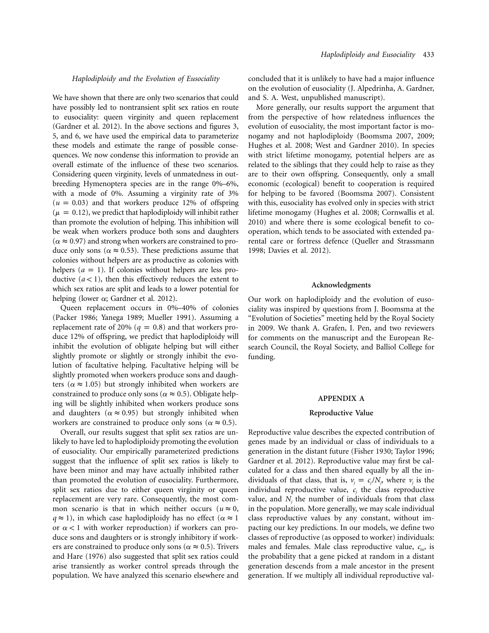## *Haplodiploidy and the Evolution of Eusociality*

We have shown that there are only two scenarios that could have possibly led to nontransient split sex ratios en route to eusociality: queen virginity and queen replacement (Gardner et al. 2012). In the above sections and figures 3, 5, and 6, we have used the empirical data to parameterize these models and estimate the range of possible consequences. We now condense this information to provide an overall estimate of the influence of these two scenarios. Considering queen virginity, levels of unmatedness in outbreeding Hymenoptera species are in the range 0%–6%, with a mode of 0%. Assuming a virginity rate of 3%  $(u = 0.03)$  and that workers produce 12% of offspring  $(\mu = 0.12)$ , we predict that haplodiploidy will inhibit rather than promote the evolution of helping. This inhibition will be weak when workers produce both sons and daughters ( $\alpha \approx 0.97$ ) and strong when workers are constrained to produce only sons ( $\alpha \approx 0.53$ ). These predictions assume that colonies without helpers are as productive as colonies with helpers  $(a = 1)$ . If colonies without helpers are less productive  $(a < 1)$ , then this effectively reduces the extent to which sex ratios are split and leads to a lower potential for helping (lower  $\alpha$ ; Gardner et al. 2012).

Queen replacement occurs in 0%–40% of colonies (Packer 1986; Yanega 1989; Mueller 1991). Assuming a replacement rate of 20% ( $q = 0.8$ ) and that workers produce 12% of offspring, we predict that haplodiploidy will inhibit the evolution of obligate helping but will either slightly promote or slightly or strongly inhibit the evolution of facultative helping. Facultative helping will be slightly promoted when workers produce sons and daughters ( $\alpha \approx 1.05$ ) but strongly inhibited when workers are constrained to produce only sons ( $\alpha \approx 0.5$ ). Obligate helping will be slightly inhibited when workers produce sons and daughters ( $\alpha \approx 0.95$ ) but strongly inhibited when workers are constrained to produce only sons ( $\alpha \approx 0.5$ ).

Overall, our results suggest that split sex ratios are unlikely to have led to haplodiploidy promoting the evolution of eusociality. Our empirically parameterized predictions suggest that the influence of split sex ratios is likely to have been minor and may have actually inhibited rather than promoted the evolution of eusociality. Furthermore, split sex ratios due to either queen virginity or queen replacement are very rare. Consequently, the most common scenario is that in which neither occurs ( $u \approx 0$ ,  $q \approx 1$ ), in which case haplodiploidy has no effect ( $\alpha \approx 1$ ) or  $\alpha$  < 1 with worker reproduction) if workers can produce sons and daughters or is strongly inhibitory if workers are constrained to produce only sons ( $\alpha \approx 0.5$ ). Trivers and Hare (1976) also suggested that split sex ratios could arise transiently as worker control spreads through the population. We have analyzed this scenario elsewhere and

concluded that it is unlikely to have had a major influence on the evolution of eusociality (J. Alpedrinha, A. Gardner, and S. A. West, unpublished manuscript).

More generally, our results support the argument that from the perspective of how relatedness influences the evolution of eusociality, the most important factor is monogamy and not haplodiploidy (Boomsma 2007, 2009; Hughes et al. 2008; West and Gardner 2010). In species with strict lifetime monogamy, potential helpers are as related to the siblings that they could help to raise as they are to their own offspring. Consequently, only a small economic (ecological) benefit to cooperation is required for helping to be favored (Boomsma 2007). Consistent with this, eusociality has evolved only in species with strict lifetime monogamy (Hughes et al. 2008; Cornwallis et al. 2010) and where there is some ecological benefit to cooperation, which tends to be associated with extended parental care or fortress defence (Queller and Strassmann 1998; Davies et al. 2012).

#### **Acknowledgments**

Our work on haplodiploidy and the evolution of eusociality was inspired by questions from J. Boomsma at the "Evolution of Societies" meeting held by the Royal Society in 2009. We thank A. Grafen, I. Pen, and two reviewers for comments on the manuscript and the European Research Council, the Royal Society, and Balliol College for funding.

#### **APPENDIX A**

#### **Reproductive Value**

Reproductive value describes the expected contribution of genes made by an individual or class of individuals to a generation in the distant future (Fisher 1930; Taylor 1996; Gardner et al. 2012). Reproductive value may first be calculated for a class and then shared equally by all the individuals of that class, that is,  $v_i = c_i / N_i$ , where  $v_i$  is the individual reproductive value,  $c_i$  the class reproductive value, and  $N_i$  the number of individuals from that class in the population. More generally, we may scale individual class reproductive values by any constant, without impacting our key predictions. In our models, we define two classes of reproductive (as opposed to worker) individuals: males and females. Male class reproductive value,  $c<sub>m</sub>$ , is the probability that a gene picked at random in a distant generation descends from a male ancestor in the present generation. If we multiply all individual reproductive val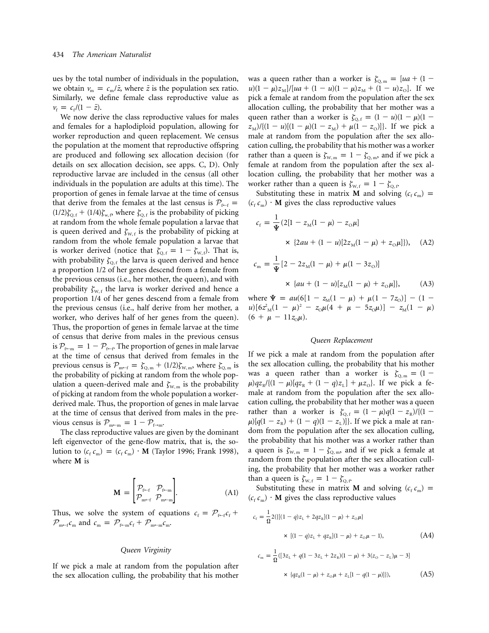ues by the total number of individuals in the population, we obtain  $v_m = c_m / \bar{z}$ , where  $\bar{z}$  is the population sex ratio. Similarly, we define female class reproductive value as  $v_{\rm f} = c_{\rm f} / (1 - \bar{z}).$ 

We now derive the class reproductive values for males and females for a haplodiploid population, allowing for worker reproduction and queen replacement. We census the population at the moment that reproductive offspring are produced and following sex allocation decision (for details on sex allocation decision, see apps. C, D). Only reproductive larvae are included in the census (all other individuals in the population are adults at this time). The proportion of genes in female larvae at the time of census that derive from the females at the last census is  $P_{\text{f-f}} =$  $(1/2)\zeta_{Q,f} + (1/4)\zeta_{w,f}$  where  $\zeta_{Q,f}$  is the probability of picking at random from the whole female population a larvae that is queen derived and  $\zeta_{W,f}$  is the probability of picking at random from the whole female population a larvae that is worker derived (notice that  $\zeta_{Q,f} = 1 - \zeta_{W,f}$ ). That is, with probability  $\zeta_{0,f}$  the larva is queen derived and hence a proportion 1/2 of her genes descend from a female from the previous census (i.e., her mother, the queen), and with probability  $\zeta_{W,f}$  the larva is worker derived and hence a proportion 1/4 of her genes descend from a female from the previous census (i.e., half derive from her mother, a worker, who derives half of her genes from the queen). Thus, the proportion of genes in female larvae at the time of census that derive from males in the previous census is  $P_{f-m} = 1 - P_{f-f}$ . The proportion of genes in male larvae at the time of census that derived from females in the previous census is  $\mathcal{P}_{m-f} = \zeta_{Q,m} + (1/2)\zeta_{W,m}$ , where  $\zeta_{Q,m}$  is the probability of picking at random from the whole population a queen-derived male and  $\zeta_{W,m}$  is the probability of picking at random from the whole population a workerderived male. Thus, the proportion of genes in male larvae at the time of census that derived from males in the previous census is  $\mathcal{P}_{m-m} = 1 - \mathcal{P}_{f \to m}$ .

The class reproductive values are given by the dominant left eigenvector of the gene-flow matrix, that is, the solution to  $(c_f c_m) = (c_f c_m) \cdot M$  (Taylor 1996; Frank 1998), where **M** is

$$
\mathbf{M} = \begin{bmatrix} \mathcal{P}_{\text{f-f}} & \mathcal{P}_{\text{f} \leftarrow \text{m}} \\ \mathcal{P}_{\text{m} \leftarrow \text{f}} & \mathcal{P}_{\text{m} \leftarrow \text{m}} \end{bmatrix} . \tag{A1}
$$

Thus, we solve the system of equations  $c_f = \mathcal{P}_{f \leftarrow f} c_f +$  $\mathcal{P}_{m-f} c_m$  and  $c_m = \mathcal{P}_{f \leftarrow m} c_f + \mathcal{P}_{m \leftarrow m} c_m$ .

### *Queen Virginity*

If we pick a male at random from the population after the sex allocation culling, the probability that his mother

was a queen rather than a worker is  $\zeta_{Q,m} = [ua + (1$  $u(1 - \mu)z_M$ /[*ua* + (1 - *u*)(1 -  $\mu$ ) $z_M$  + (1 - *u*) $z_O$ ]. If we pick a female at random from the population after the sex allocation culling, the probability that her mother was a queen rather than a worker is  $\zeta_{Q, f} = (1 - u)(1 - \mu)(1 - \mu)$  $z_M$ //{ $(1 - u)[(1 - \mu)(1 - z_M) + \mu(1 - z_O)]$ }. If we pick a male at random from the population after the sex allocation culling, the probability that his mother was a worker rather than a queen is  $\zeta_{w,m} = 1 - \zeta_{Q,m}$ , and if we pick a female at random from the population after the sex allocation culling, the probability that her mother was a worker rather than a queen is  $\zeta_{w,f} = 1 - \zeta_{Q,f}$ 

Substituting these in matrix **M** and solving  $(c_f c_m)$  =  $(c_f c_m)$  **M** gives the class reproductive values

$$
c_{\rm f} = \frac{1}{\Psi} (2[1 - z_{\rm M}(1 - \mu) - z_{\rm O}\mu]
$$
  
× {2au + (1 - u)[2z\_{\rm M}(1 - \mu) + z\_{\rm O}\mu]}), (A2)

$$
c_{\rm m} = \frac{1}{\Psi} [2 - 2z_{\rm M}(1 - \mu) + \mu(1 - 3z_{\rm O})]
$$
  
× {au + (1 - u)[z\_{\rm M}(1 - \mu) + z\_{\rm O}\mu]}, (A3)

where  $\Psi = au(6[1 - z_M(1 - \mu) + \mu(1 - 7z_O)] - (1 - \mu)$  $u$ [6 $z^2$ <sub>M</sub>(1 -  $\mu$ )<sup>2</sup> -  $z_0 \mu$ (4 +  $\mu$  - 5 $z_0 \mu$ )] -  $z_M$ (1 -  $\mu$ )  $(6 + \mu - 11z_0\mu).$ 

#### *Queen Replacement*

If we pick a male at random from the population after the sex allocation culling, the probability that his mother was a queen rather than a worker is  $\zeta_{Q,m} = (1 \mu$ )*qz*<sub>R</sub>/{(1 -  $\mu$ )[*qz*<sub>R</sub> + (1 - *q*)*z*<sub>L</sub>] +  $\mu$ *z*<sub>O</sub>}. If we pick a female at random from the population after the sex allocation culling, the probability that her mother was a queen rather than a worker is  $\zeta_{Q, f} = (1 - \mu)q(1 - z_R)/{(1 - z_R)}$  $\mu$ )[ $q(1 - z_{\rm R}) + (1 - q)(1 - z_{\rm L})$ ]}. If we pick a male at random from the population after the sex allocation culling, the probability that his mother was a worker rather than a queen is  $\zeta_{w,m} = 1 - \zeta_{Q,m}$ , and if we pick a female at random from the population after the sex allocation culling, the probability that her mother was a worker rather than a queen is  $\zeta_{W, f} = 1 - \zeta_{Q, f}$ 

Substituting these in matrix **M** and solving  $(c_f c_m)$  =  $(c_f c_m)$  **M** gives the class reproductive values

$$
c_{\rm f} = \frac{1}{\Omega} 2({\left\{[(1-q)z_{\rm L} + 2qz_{\rm R}](1-\mu) + z_{\rm O}\mu\right\}}\n\times \left[(1-q)z_{\rm L} + qz_{\rm R}](1-\mu) + z_{\rm O}\mu - 1\right),
$$
\n(A4)

$$
c_{\rm m} = \frac{1}{\Omega} ([3z_{\rm L} + q(1 - 3z_{\rm L} + 2z_{\rm R})(1 - \mu) + 3(z_{\rm O} - z_{\rm L})\mu - 3]
$$
  
 
$$
\times \{qz_{\rm R}(1 - \mu) + z_{\rm O}\mu + z_{\rm L}[1 - q(1 - \mu)]\}), \tag{A5}
$$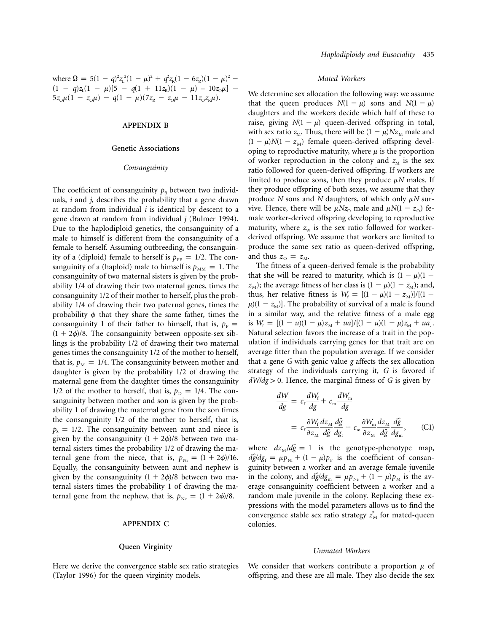where  $\Omega = 5(1 - q)^2 z_L^2 (1 - \mu)^2 + q^2 z_R (1 - 6z_R)(1 - \mu)^2$  - $(1 - q)z_1(1 - \mu)[5 - q(1 + 11z_1)(1 - \mu) - 10z_0\mu] 5z_{\text{o}}\mu(1 - z_{\text{o}}\mu) - q(1 - \mu)(7z_{\text{R}} - z_{\text{o}}\mu - 11z_{\text{o}}z_{\text{R}}\mu).$ 

## **APPENDIX B**

#### **Genetic Associations**

#### *Consanguinity*

The coefficient of consanguinity  $p_{ii}$  between two individuals, *i* and *j*, describes the probability that a gene drawn at random from individual *i* is identical by descent to a gene drawn at random from individual *j* (Bulmer 1994). Due to the haplodiploid genetics, the consanguinity of a male to himself is different from the consanguinity of a female to herself. Assuming outbreeding, the consanguinity of a (diploid) female to herself is  $p_{FF} = 1/2$ . The consanguinity of a (haploid) male to himself is  $p_{\text{MM}} = 1$ . The consanguinity of two maternal sisters is given by the probability 1/4 of drawing their two maternal genes, times the consanguinity 1/2 of their mother to herself, plus the probability 1/4 of drawing their two paternal genes, times the probability  $\phi$  that they share the same father, times the consanguinity 1 of their father to himself, that is,  $p_F$  =  $(1 + 2\phi)/8$ . The consanguinity between opposite-sex siblings is the probability 1/2 of drawing their two maternal genes times the consanguinity 1/2 of the mother to herself, that is,  $p_M = 1/4$ . The consanguinity between mother and daughter is given by the probability 1/2 of drawing the maternal gene from the daughter times the consanguinity 1/2 of the mother to herself, that is,  $p_{\rm D} = 1/4$ . The consanguinity between mother and son is given by the probability 1 of drawing the maternal gene from the son times the consanguinity 1/2 of the mother to herself, that is,  $p_s = 1/2$ . The consanguinity between aunt and niece is given by the consanguinity  $(1 + 2\phi)/8$  between two maternal sisters times the probability 1/2 of drawing the maternal gene from the niece, that is,  $p_{\text{Ni}} = (1 + 2\phi)/16$ . Equally, the consanguinity between aunt and nephew is given by the consanguinity  $(1 + 2\phi)/8$  between two maternal sisters times the probability 1 of drawing the maternal gene from the nephew, that is,  $p_{Ne} = (1 + 2\phi)/8$ .

## **APPENDIX C**

#### **Queen Virginity**

Here we derive the convergence stable sex ratio strategies (Taylor 1996) for the queen virginity models.

## *Mated Workers*

We determine sex allocation the following way: we assume that the queen produces  $N(1 - \mu)$  sons and  $N(1 - \mu)$ daughters and the workers decide which half of these to raise, giving  $N(1 - \mu)$  queen-derived offspring in total, with sex ratio  $z_M$ . Thus, there will be  $(1 - \mu)Nz_M$  male and  $(1 - \mu)N(1 - z_M)$  female queen-derived offspring developing to reproductive maturity, where  $\mu$  is the proportion of worker reproduction in the colony and  $z<sub>M</sub>$  is the sex ratio followed for queen-derived offspring. If workers are limited to produce sons, then they produce  $\mu$ *N* males. If they produce offspring of both sexes, we assume that they produce *N* sons and *N* daughters, of which only  $\mu$ *N* survive. Hence, there will be  $\mu$ *Nz*<sub>O</sub> male and  $\mu$ *N*(1 - *z*<sub>O</sub>) female worker-derived offspring developing to reproductive maturity, where  $z<sub>W</sub>$  is the sex ratio followed for workerderived offspring. We assume that workers are limited to produce the same sex ratio as queen-derived offspring, and thus  $z_{\rm o} = z_{\rm M}$ .

The fitness of a queen-derived female is the probability that she will be reared to maturity, which is  $(1 - \mu)(1 - \mu)$  $z_M$ ); the average fitness of her class is  $(1 - \mu)(1 - \bar{z}_M)$ ; and, thus, her relative fitness is  $W_f = [(1 - \mu)(1 - z_M)]/[(1 \mu$ )(1 –  $\bar{z}_M$ )]. The probability of survival of a male is found in a similar way, and the relative fitness of a male egg is  $W_f = [(1 - u)(1 - \mu)z_M + ua]/[(1 - u)(1 - \mu)\bar{z}_M + ua].$ Natural selection favors the increase of a trait in the population if individuals carrying genes for that trait are on average fitter than the population average. If we consider that a gene *G* with genic value *g* affects the sex allocation strategy of the individuals carrying it, *G* is favored if  $dW/dg > 0$ . Hence, the marginal fitness of *G* is given by

$$
\frac{dW}{dg} = c_f \frac{dW_f}{dg} + c_m \frac{dW_m}{dg}
$$
\n
$$
= c_f \frac{\partial W_f}{\partial z_M} \frac{dz_M}{d\hat{g}} \frac{d\hat{g}}{dg_f} + c_m \frac{\partial W_m}{\partial z_M} \frac{dz_M}{d\hat{g}} \frac{d\hat{g}}{dg_m}, \qquad (C1)
$$

where  $dz_M/d\hat{g} = 1$  is the genotype-phenotype map,  $d\hat{g}/d g_f = \mu p_{Ni} + (1 - \mu)p_F$  is the coefficient of consanguinity between a worker and an average female juvenile in the colony, and  $d\hat{g}/d\tilde{g}_{\text{m}} = \mu p_{\text{Ne}} + (1 - \mu)p_{\text{M}}$  is the average consanguinity coefficient between a worker and a random male juvenile in the colony. Replacing these expressions with the model parameters allows us to find the convergence stable sex ratio strategy  $z^*_{\text{M}}$  for mated-queen colonies.

#### *Unmated Workers*

We consider that workers contribute a proportion  $\mu$  of offspring, and these are all male. They also decide the sex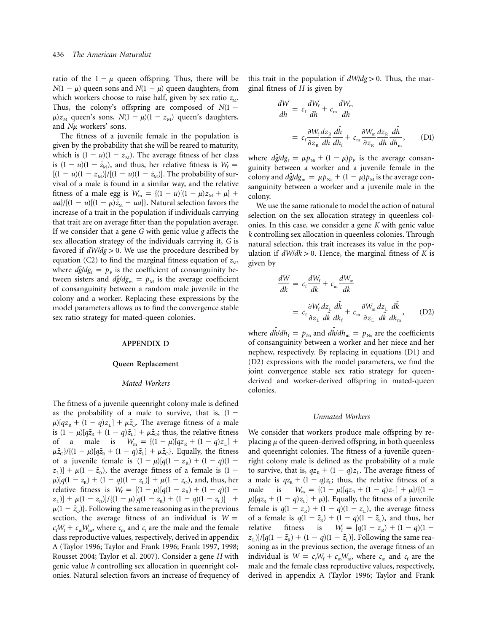ratio of the  $1 - \mu$  queen offspring. Thus, there will be  $N(1 - \mu)$  queen sons and  $N(1 - \mu)$  queen daughters, from which workers choose to raise half, given by sex ratio  $z_M$ . Thus, the colony's offspring are composed of  $N(1 \mu$ / $z_M$  queen's sons,  $N(1 - \mu)(1 - z_M)$  queen's daughters, and  $N\mu$  workers' sons.

The fitness of a juvenile female in the population is given by the probability that she will be reared to maturity, which is  $(1 - u)(1 - z_M)$ . The average fitness of her class is  $(1 - u)(1 - \bar{z}_M)$ , and thus, her relative fitness is  $W_f$  =  $[(1 - u)(1 - z_M)]/[(1 - u)(1 - \bar{z}_M)]$ . The probability of survival of a male is found in a similar way, and the relative fitness of a male egg is  $W_m = {(1 - u)[(1 - \mu)z_M + \mu]}$  $\frac{u}{(1-u)[(1-\mu)\bar{z}_M + ua]}$ . Natural selection favors the increase of a trait in the population if individuals carrying that trait are on average fitter than the population average. If we consider that a gene *G* with genic value *g* affects the sex allocation strategy of the individuals carrying it, *G* is favored if  $dW/dg > 0$ . We use the procedure described by equation (C2) to find the marginal fitness equation of  $z_M$ , where  $d\hat{g}/dg_f = p_F$  is the coefficient of consanguinity between sisters and  $d\hat{g}/d\tilde{g}_{\rm m} = p_{\rm M}$  is the average coefficient of consanguinity between a random male juvenile in the colony and a worker. Replacing these expressions by the model parameters allows us to find the convergence stable sex ratio strategy for mated-queen colonies.

## **APPENDIX D**

#### **Queen Replacement**

#### *Mated Workers*

The fitness of a juvenile queenright colony male is defined as the probability of a male to survive, that is,  $(1 \mu$ )[ $qz_{\rm R}$  +  $(1 - q)z_{\rm L}$ ] +  $\mu\bar{z}_{\rm O}$ . The average fitness of a male is  $(1 - \mu)[q\bar{z}_R + (1 - q)\bar{z}_L] + \mu \bar{z}_O$ ; thus, the relative fitness of a male is  $W_m = {(1 - \mu)[qz_R + (1 - q)z_L]} +$  $\mu \bar{z}_{\text{o}}$ }/{(1 -  $\mu$ )[ $q\bar{z}_{\text{R}}$  + (1 -  $q$ ) $\bar{z}_{\text{L}}$ ] +  $\mu \bar{z}_{\text{o}}$ }. Equally, the fitness of a juvenile female is  $(1 - \mu)[q(1 - z_R) + (1 - q)(1 - z_R)]$  $(z_L)$  +  $\mu$ (1 -  $\bar{z}_0$ ), the average fitness of a female is (1 - $\mu$ <sup>[</sup> $q$ (1 -  $\bar{z}_R$ ) + (1 -  $q$ )(1 -  $\bar{z}_L$ )] +  $\mu$ (1 -  $\bar{z}_O$ ), and, thus, her relative fitness is  $W_f = [(1 - \mu)]q(1 - z_R) + (1 - q)(1 - z_R)$  $(z_{\text{L}})| + \mu(1 - \bar{z}_{\text{o}})| / \{(1 - \mu)[q(1 - \bar{z}_{\text{R}}) + (1 - q)(1 - \bar{z}_{\text{L}})] +$  $\mu(1-\bar{z}_{\rm O})$ }. Following the same reasoning as in the previous section, the average fitness of an individual is  $W =$  $c_f W_f + c_m W_m$ , where  $c_m$  and  $c_f$  are the male and the female class reproductive values, respectively, derived in appendix A (Taylor 1996; Taylor and Frank 1996; Frank 1997, 1998; Rousset 2004; Taylor et al. 2007). Consider a gene *H* with genic value *h* controlling sex allocation in queenright colonies. Natural selection favors an increase of frequency of this trait in the population if  $dW/dg > 0$ . Thus, the marginal fitness of *H* is given by

$$
\frac{dW}{dh} = c_f \frac{dW_f}{dh} + c_m \frac{dW_m}{dh}
$$
\n
$$
= c_f \frac{\partial W_f}{\partial z_R} \frac{dz_R}{dh} \frac{d\hat{h}}{dh_f} + c_m \frac{\partial W_m}{\partial z_R} \frac{dz_R}{dh} \frac{d\hat{h}}{dh_n}, \qquad (D1)
$$

where  $d\hat{g}/dg_f = \mu p_{Ni} + (1 - \mu)p_F$  is the average consanguinity between a worker and a juvenile female in the colony and  $d\hat{g}/d\text{g}_{\text{m}} = \mu p_{\text{Ne}} + (1 - \mu)p_{\text{M}}$  is the average consanguinity between a worker and a juvenile male in the colony.

We use the same rationale to model the action of natural selection on the sex allocation strategy in queenless colonies. In this case, we consider a gene *K* with genic value *k* controlling sex allocation in queenless colonies. Through natural selection, this trait increases its value in the population if  $dW/dk > 0$ . Hence, the marginal fitness of *K* is given by

$$
\frac{dW}{dk} = c_f \frac{dW_f}{dk} + c_m \frac{dW_m}{dk}
$$
\n
$$
= c_f \frac{\partial W_f}{\partial z_L} \frac{d\hat{k}}{dk} + c_m \frac{\partial W_m}{\partial z_L} \frac{dz_L}{dk} \frac{d\hat{k}}{dk_m}, \qquad (D2)
$$

where  $d\hat{h}/dh_f = p_{\text{Ni}}$  and  $d\hat{h}/dh_m = p_{\text{Ne}}$  are the coefficients of consanguinity between a worker and her niece and her nephew, respectively. By replacing in equations (D1) and (D2) expressions with the model parameters, we find the joint convergence stable sex ratio strategy for queenderived and worker-derived offspring in mated-queen colonies.

#### *Unmated Workers*

We consider that workers produce male offspring by replacing  $\mu$  of the queen-derived offspring, in both queenless and queenright colonies. The fitness of a juvenile queenright colony male is defined as the probability of a male to survive, that is,  $qz_{R} + (1 - q)z_{L}$ . The average fitness of a male is  $q\bar{z}_R + (1 - q)\bar{z}_L$ ; thus, the relative fitness of a male is  $W_m = {(1 - \mu)[qz_R + (1 - q)z_L] + \mu}/{(1 \mu$ )[ $q\bar{z}_R$  +  $(1 - q)\bar{z}_L$ ] +  $\mu$ }}. Equally, the fitness of a juvenile female is  $q(1 - z_R) + (1 - q)(1 - z_L)$ , the average fitness of a female is  $q(1 - \bar{z}_R) + (1 - q)(1 - \bar{z}_L)$ , and thus, her relative fitness is  $W_f = [q(1 - z_R) + (1 - q)(1 - z_R)]$  $(z_L)$ ]/[ $q(1 - \bar{z}_R) + (1 - q)(1 - \bar{z}_L)$ ]. Following the same reasoning as in the previous section, the average fitness of an individual is  $W = c_f W_f + c_m W_m$ , where  $c_m$  and  $c_f$  are the male and the female class reproductive values, respectively, derived in appendix A (Taylor 1996; Taylor and Frank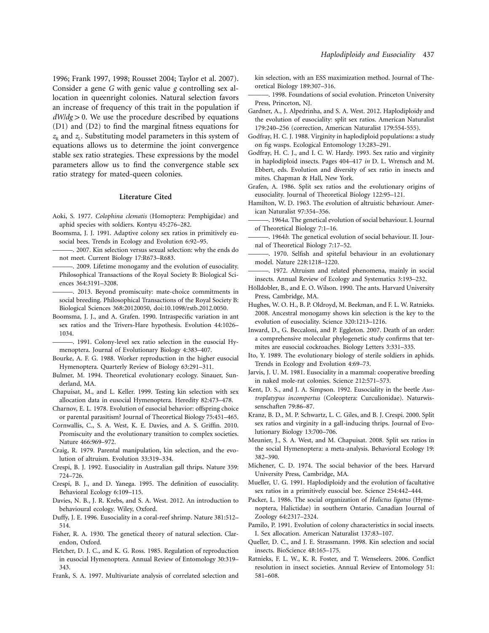1996; Frank 1997, 1998; Rousset 2004; Taylor et al. 2007). Consider a gene *G* with genic value *g* controlling sex allocation in queenright colonies. Natural selection favors an increase of frequency of this trait in the population if  $dW/dg > 0$ . We use the procedure described by equations (D1) and (D2) to find the marginal fitness equations for  $z<sub>R</sub>$  and  $z<sub>L</sub>$ . Substituting model parameters in this system of equations allows us to determine the joint convergence stable sex ratio strategies. These expressions by the model parameters allow us to find the convergence stable sex ratio strategy for mated-queen colonies.

#### **Literature Cited**

- Aoki, S. 1977. *Colophina clematis* (Homoptera: Pemphigidae) and aphid species with soldiers. Kontyu 45:276–282.
- Boomsma, J. J. 1991. Adaptive colony sex ratios in primitively eusocial bees. Trends in Ecology and Evolution 6:92–95.
- . 2007. Kin selection versus sexual selection: why the ends do not meet. Current Biology 17:R673–R683.
- ———. 2009. Lifetime monogamy and the evolution of eusociality. Philosophical Transactions of the Royal Society B: Biological Sciences 364:3191–3208.
- ———. 2013. Beyond promiscuity: mate-choice commitments in social breeding. Philosophical Transactions of the Royal Society B: Biological Sciences 368:20120050, doi:10.1098/rstb.2012.0050.
- Boomsma, J. J., and A. Grafen. 1990. Intraspecific variation in ant sex ratios and the Trivers-Hare hypothesis. Evolution 44:1026– 1034.
- -. 1991. Colony-level sex ratio selection in the eusocial Hymenoptera. Journal of Evolutionary Biology 4:383–407.
- Bourke, A. F. G. 1988. Worker reproduction in the higher eusocial Hymenoptera. Quarterly Review of Biology 63:291–311.
- Bulmer, M. 1994. Theoretical evolutionary ecology. Sinauer, Sunderland, MA.
- Chapuisat, M., and L. Keller. 1999. Testing kin selection with sex allocation data in eusocial Hymenoptera. Heredity 82:473–478.
- Charnov, E. L. 1978. Evolution of eusocial behavior: offspring choice or parental parasitism? Journal of Theoretical Biology 75:451–465.
- Cornwallis, C., S. A. West, K. E. Davies, and A. S. Griffin. 2010. Promiscuity and the evolutionary transition to complex societies. Nature 466:969–972.
- Craig, R. 1979. Parental manipulation, kin selection, and the evolution of altruism. Evolution 33:319–334.
- Crespi, B. J. 1992. Eusociality in Australian gall thrips. Nature 359: 724–726.
- Crespi, B. J., and D. Yanega. 1995. The definition of eusociality. Behavioral Ecology 6:109–115.
- Davies, N. B., J. R. Krebs, and S. A. West. 2012. An introduction to behavioural ecology. Wiley, Oxford.
- Duffy, J. E. 1996. Eusociality in a coral-reef shrimp. Nature 381:512– 514.
- Fisher, R. A. 1930. The genetical theory of natural selection. Clarendon, Oxford.
- Fletcher, D. J. C., and K. G. Ross. 1985. Regulation of reproduction in eusocial Hymenoptera. Annual Review of Entomology 30:319– 343.
- Frank, S. A. 1997. Multivariate analysis of correlated selection and

kin selection, with an ESS maximization method. Journal of Theoretical Biology 189:307–316.

- ———. 1998. Foundations of social evolution. Princeton University Press, Princeton, NJ.
- Gardner, A., J. Alpedrinha, and S. A. West. 2012. Haplodiploidy and the evolution of eusociality: split sex ratios. American Naturalist 179:240–256 (correction, American Naturalist 179:554-555).
- Godfray, H. C. J. 1988. Virginity in haplodiploid populations: a study on fig wasps. Ecological Entomology 13:283–291.
- Godfray, H. C. J., and I. C. W. Hardy. 1993. Sex ratio and virginity in haplodiploid insects. Pages 404–417 *in* D. L. Wrensch and M. Ebbert, eds. Evolution and diversity of sex ratio in insects and mites. Chapman & Hall, New York.
- Grafen, A. 1986. Split sex ratios and the evolutionary origins of eusociality. Journal of Theoretical Biology 122:95–121.
- Hamilton, W. D. 1963. The evolution of altruistic behaviour. American Naturalist 97:354–356.
	- ———. 1964*a*. The genetical evolution of social behaviour. I. Journal of Theoretical Biology 7:1–16.
- -. 1964*b*. The genetical evolution of social behaviour. II. Journal of Theoretical Biology 7:17–52.
- -. 1970. Selfish and spiteful behaviour in an evolutionary model. Nature 228:1218–1220.
- -. 1972. Altruism and related phenomena, mainly in social insects. Annual Review of Ecology and Systematics 3:193–232.
- Hölldobler, B., and E. O. Wilson. 1990. The ants. Harvard University Press, Cambridge, MA.
- Hughes, W. O. H., B. P. Oldroyd, M. Beekman, and F. L. W. Ratnieks. 2008. Ancestral monogamy shows kin selection is the key to the evolution of eusociality. Science 320:1213–1216.
- Inward, D., G. Beccaloni, and P. Eggleton. 2007. Death of an order: a comprehensive molecular phylogenetic study confirms that termites are eusocial cockroaches. Biology Letters 3:331–335.
- Ito, Y. 1989. The evolutionary biology of sterile soldiers in aphids. Trends in Ecology and Evolution 4:69–73.
- Jarvis, J. U. M. 1981. Eusociality in a mammal: cooperative breeding in naked mole-rat colonies. Science 212:571–573.
- Kent, D. S., and J. A. Simpson. 1992. Eusociality in the beetle *Austroplatypus incompertus* (Coleoptera: Curculionidae). Naturwissenschaften 79:86–87.
- Kranz, B. D., M. P. Schwartz, L. C. Giles, and B. J. Crespi. 2000. Split sex ratios and virginity in a gall-inducing thrips. Journal of Evolutionary Biology 13:700–706.
- Meunier, J., S. A. West, and M. Chapuisat. 2008. Split sex ratios in the social Hymenoptera: a meta-analysis. Behavioral Ecology 19: 382–390.
- Michener, C. D. 1974. The social behavior of the bees. Harvard University Press, Cambridge, MA.
- Mueller, U. G. 1991. Haplodiploidy and the evolution of facultative sex ratios in a primitively eusocial bee. Science 254:442–444.
- Packer, L. 1986. The social organization of *Halictus ligatus* (Hymenoptera, Halictidae) in southern Ontario. Canadian Journal of Zoology 64:2317–2324.
- Pamilo, P. 1991. Evolution of colony characteristics in social insects. I. Sex allocation. American Naturalist 137:83–107.
- Queller, D. C., and J. E. Strassmann. 1998. Kin selection and social insects. BioScience 48:165–175.
- Ratnieks, F. L. W., K. R. Foster, and T. Wenseleers. 2006. Conflict resolution in insect societies. Annual Review of Entomology 51: 581–608.